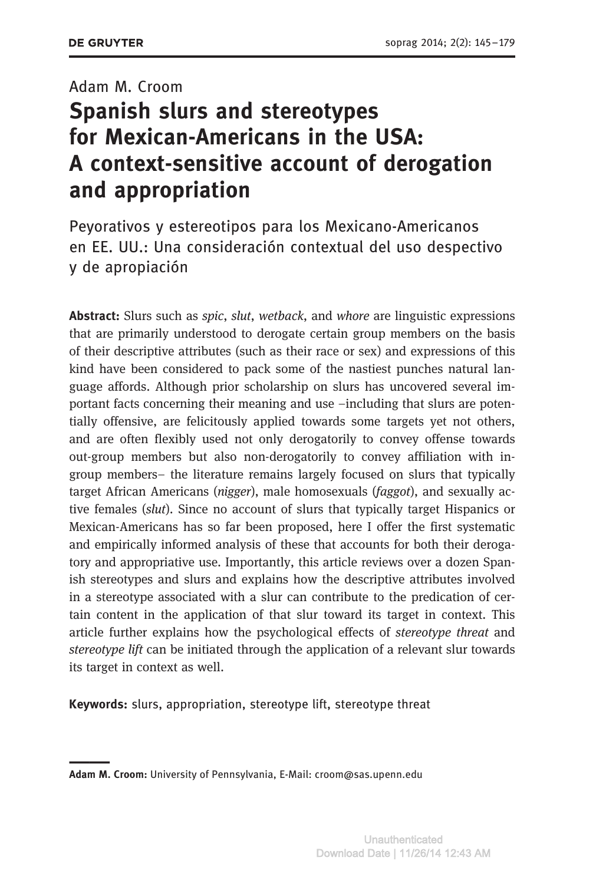## Adam M. Croom Spanish slurs and stereotypes for Mexican-Americans in the USA: A context-sensitive account of derogation and appropriation

Peyorativos y estereotipos para los Mexicano-Americanos en EE. UU.: Una consideración contextual del uso despectivo y de apropiación

Abstract: Slurs such as spic, slut, wetback, and whore are linguistic expressions that are primarily understood to derogate certain group members on the basis of their descriptive attributes (such as their race or sex) and expressions of this kind have been considered to pack some of the nastiest punches natural language affords. Although prior scholarship on slurs has uncovered several important facts concerning their meaning and use –including that slurs are potentially offensive, are felicitously applied towards some targets yet not others, and are often flexibly used not only derogatorily to convey offense towards out-group members but also non-derogatorily to convey affiliation with ingroup members– the literature remains largely focused on slurs that typically target African Americans (nigger), male homosexuals (faggot), and sexually active females (slut). Since no account of slurs that typically target Hispanics or Mexican-Americans has so far been proposed, here I offer the first systematic and empirically informed analysis of these that accounts for both their derogatory and appropriative use. Importantly, this article reviews over a dozen Spanish stereotypes and slurs and explains how the descriptive attributes involved in a stereotype associated with a slur can contribute to the predication of certain content in the application of that slur toward its target in context. This article further explains how the psychological effects of stereotype threat and stereotype lift can be initiated through the application of a relevant slur towards its target in context as well.

Keywords: slurs, appropriation, stereotype lift, stereotype threat

\_\_\_

Adam M. Croom: University of Pennsylvania, E-Mail: croom@sas.upenn.edu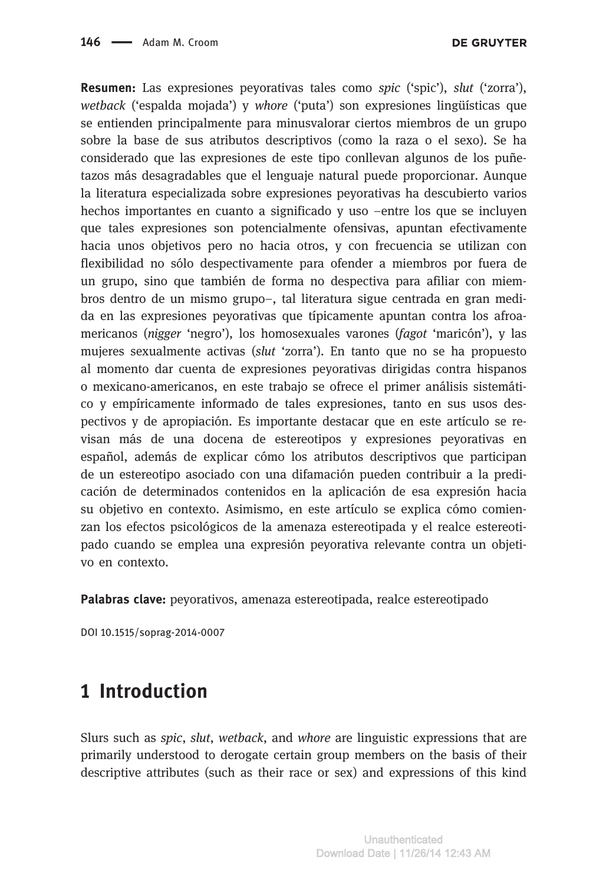Resumen: Las expresiones peyorativas tales como spic ('spic'), slut ('zorra'), wetback ('espalda mojada') y whore ('puta') son expresiones lingüísticas que se entienden principalmente para minusvalorar ciertos miembros de un grupo sobre la base de sus atributos descriptivos (como la raza o el sexo). Se ha considerado que las expresiones de este tipo conllevan algunos de los puñetazos más desagradables que el lenguaje natural puede proporcionar. Aunque la literatura especializada sobre expresiones peyorativas ha descubierto varios hechos importantes en cuanto a significado y uso –entre los que se incluyen que tales expresiones son potencialmente ofensivas, apuntan efectivamente hacia unos objetivos pero no hacia otros, y con frecuencia se utilizan con flexibilidad no sólo despectivamente para ofender a miembros por fuera de un grupo, sino que también de forma no despectiva para afiliar con miembros dentro de un mismo grupo–, tal literatura sigue centrada en gran medida en las expresiones peyorativas que típicamente apuntan contra los afroamericanos (nigger 'negro'), los homosexuales varones (fagot 'maricón'), y las mujeres sexualmente activas (slut 'zorra'). En tanto que no se ha propuesto al momento dar cuenta de expresiones peyorativas dirigidas contra hispanos o mexicano-americanos, en este trabajo se ofrece el primer análisis sistemático y empíricamente informado de tales expresiones, tanto en sus usos despectivos y de apropiación. Es importante destacar que en este artículo se revisan más de una docena de estereotipos y expresiones peyorativas en español, además de explicar cómo los atributos descriptivos que participan de un estereotipo asociado con una difamación pueden contribuir a la predicación de determinados contenidos en la aplicación de esa expresión hacia su objetivo en contexto. Asimismo, en este artículo se explica cómo comienzan los efectos psicológicos de la amenaza estereotipada y el realce estereotipado cuando se emplea una expresión peyorativa relevante contra un objetivo en contexto.

Palabras clave: peyorativos, amenaza estereotipada, realce estereotipado

DOI 10.1515/soprag-2014-0007

#### 1 Introduction

Slurs such as spic, slut, wetback, and whore are linguistic expressions that are primarily understood to derogate certain group members on the basis of their descriptive attributes (such as their race or sex) and expressions of this kind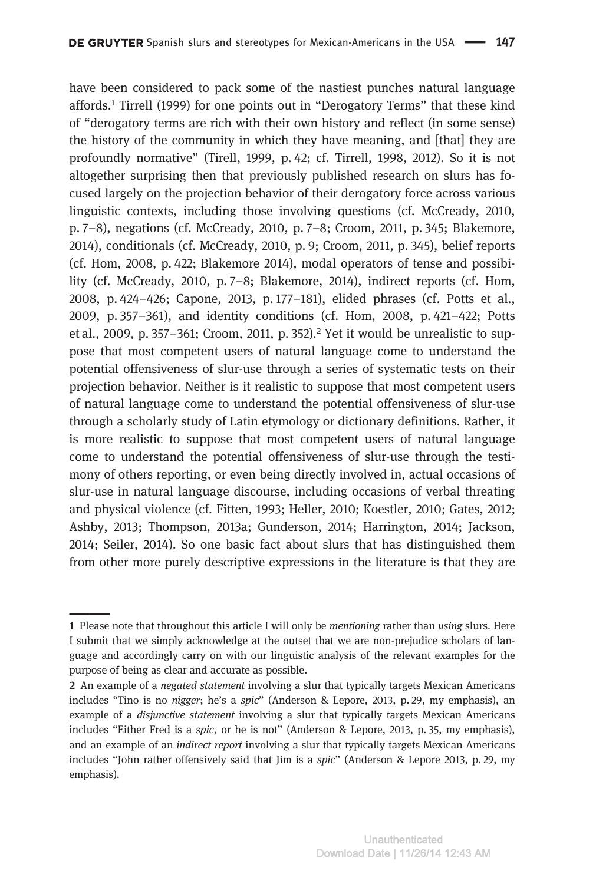have been considered to pack some of the nastiest punches natural language affords.1 Tirrell (1999) for one points out in "Derogatory Terms" that these kind of "derogatory terms are rich with their own history and reflect (in some sense) the history of the community in which they have meaning, and [that] they are profoundly normative" (Tirell, 1999, p. 42; cf. Tirrell, 1998, 2012). So it is not altogether surprising then that previously published research on slurs has focused largely on the projection behavior of their derogatory force across various linguistic contexts, including those involving questions (cf. McCready, 2010, p. 7–8), negations (cf. McCready, 2010, p. 7–8; Croom, 2011, p. 345; Blakemore, 2014), conditionals (cf. McCready, 2010, p. 9; Croom, 2011, p. 345), belief reports (cf. Hom, 2008, p. 422; Blakemore 2014), modal operators of tense and possibility (cf. McCready, 2010, p. 7–8; Blakemore, 2014), indirect reports (cf. Hom, 2008, p. 424–426; Capone, 2013, p. 177–181), elided phrases (cf. Potts et al., 2009, p. 357–361), and identity conditions (cf. Hom, 2008, p. 421–422; Potts et al., 2009, p. 357–361; Croom, 2011, p. 352).<sup>2</sup> Yet it would be unrealistic to suppose that most competent users of natural language come to understand the potential offensiveness of slur-use through a series of systematic tests on their projection behavior. Neither is it realistic to suppose that most competent users of natural language come to understand the potential offensiveness of slur-use through a scholarly study of Latin etymology or dictionary definitions. Rather, it is more realistic to suppose that most competent users of natural language come to understand the potential offensiveness of slur-use through the testimony of others reporting, or even being directly involved in, actual occasions of slur-use in natural language discourse, including occasions of verbal threating and physical violence (cf. Fitten, 1993; Heller, 2010; Koestler, 2010; Gates, 2012; Ashby, 2013; Thompson, 2013a; Gunderson, 2014; Harrington, 2014; Jackson, 2014; Seiler, 2014). So one basic fact about slurs that has distinguished them from other more purely descriptive expressions in the literature is that they are

<sup>1</sup> Please note that throughout this article I will only be *mentioning* rather than using slurs. Here I submit that we simply acknowledge at the outset that we are non-prejudice scholars of language and accordingly carry on with our linguistic analysis of the relevant examples for the purpose of being as clear and accurate as possible.

<sup>2</sup> An example of a negated statement involving a slur that typically targets Mexican Americans includes "Tino is no *nigger*; he's a *spic*" (Anderson & Lepore, 2013, p. 29, my emphasis), an example of a *disjunctive statement* involving a slur that typically targets Mexican Americans includes "Either Fred is a spic, or he is not" (Anderson & Lepore, 2013, p. 35, my emphasis), and an example of an *indirect report* involving a slur that typically targets Mexican Americans includes "John rather offensively said that Jim is a spic" (Anderson & Lepore 2013, p. 29, my emphasis).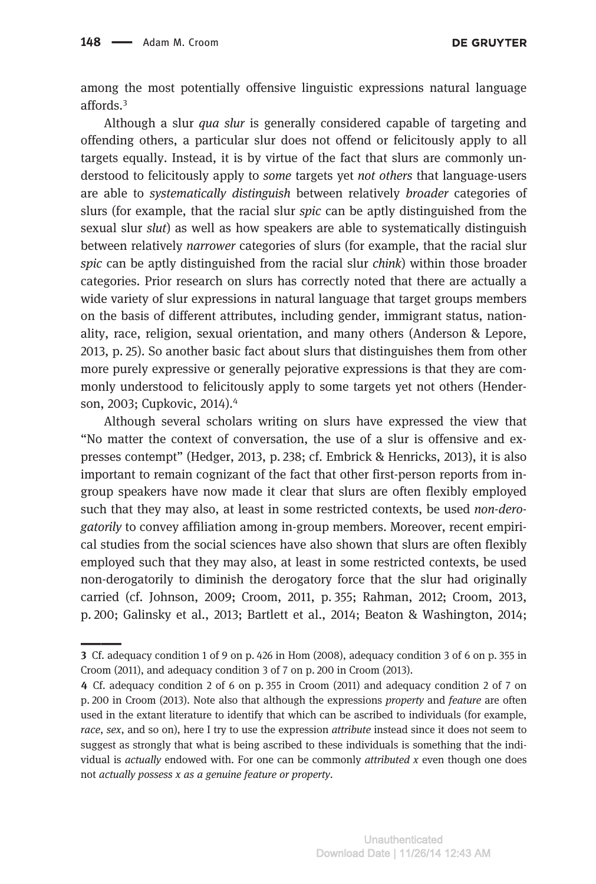\_\_\_

among the most potentially offensive linguistic expressions natural language affords.3

Although a slur *qua slur* is generally considered capable of targeting and offending others, a particular slur does not offend or felicitously apply to all targets equally. Instead, it is by virtue of the fact that slurs are commonly understood to felicitously apply to *some* targets yet not others that language-users are able to systematically distinguish between relatively broader categories of slurs (for example, that the racial slur spic can be aptly distinguished from the sexual slur *slut*) as well as how speakers are able to systematically distinguish between relatively narrower categories of slurs (for example, that the racial slur spic can be aptly distinguished from the racial slur *chink*) within those broader categories. Prior research on slurs has correctly noted that there are actually a wide variety of slur expressions in natural language that target groups members on the basis of different attributes, including gender, immigrant status, nationality, race, religion, sexual orientation, and many others (Anderson & Lepore, 2013, p. 25). So another basic fact about slurs that distinguishes them from other more purely expressive or generally pejorative expressions is that they are commonly understood to felicitously apply to some targets yet not others (Henderson, 2003; Cupkovic, 2014).4

Although several scholars writing on slurs have expressed the view that "No matter the context of conversation, the use of a slur is offensive and expresses contempt" (Hedger, 2013, p. 238; cf. Embrick & Henricks, 2013), it is also important to remain cognizant of the fact that other first-person reports from ingroup speakers have now made it clear that slurs are often flexibly employed such that they may also, at least in some restricted contexts, be used non-derogatorily to convey affiliation among in-group members. Moreover, recent empirical studies from the social sciences have also shown that slurs are often flexibly employed such that they may also, at least in some restricted contexts, be used non-derogatorily to diminish the derogatory force that the slur had originally carried (cf. Johnson, 2009; Croom, 2011, p. 355; Rahman, 2012; Croom, 2013, p. 200; Galinsky et al., 2013; Bartlett et al., 2014; Beaton & Washington, 2014;

<sup>3</sup> Cf. adequacy condition 1 of 9 on p. 426 in Hom (2008), adequacy condition 3 of 6 on p. 355 in Croom (2011), and adequacy condition 3 of 7 on p. 200 in Croom (2013).

<sup>4</sup> Cf. adequacy condition 2 of 6 on p. 355 in Croom (2011) and adequacy condition 2 of 7 on p. 200 in Croom (2013). Note also that although the expressions *property* and *feature* are often used in the extant literature to identify that which can be ascribed to individuals (for example, race, sex, and so on), here I try to use the expression *attribute* instead since it does not seem to suggest as strongly that what is being ascribed to these individuals is something that the individual is *actually* endowed with. For one can be commonly *attributed x* even though one does not actually possess x as a genuine feature or property.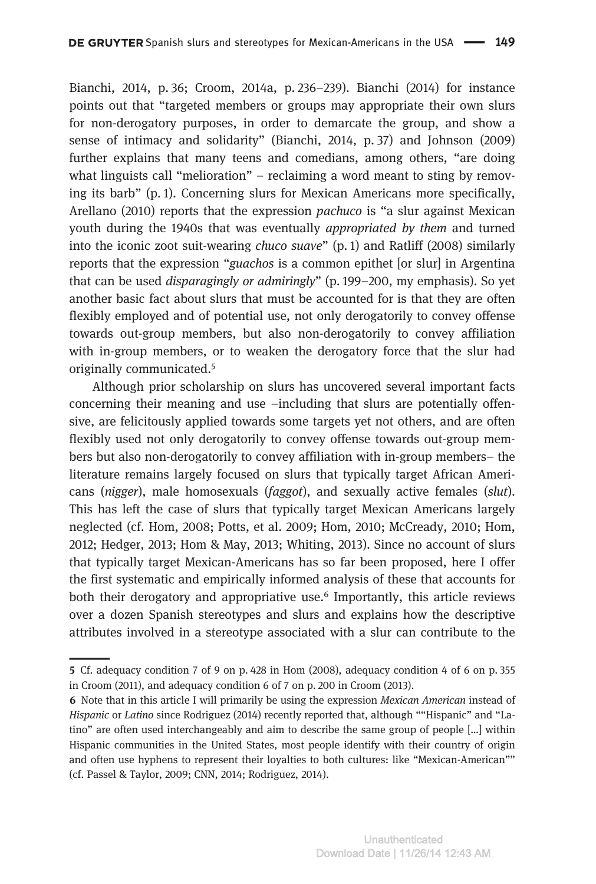Bianchi, 2014, p. 36; Croom, 2014a, p. 236–239). Bianchi (2014) for instance points out that "targeted members or groups may appropriate their own slurs for non-derogatory purposes, in order to demarcate the group, and show a sense of intimacy and solidarity" (Bianchi, 2014, p. 37) and Johnson (2009) further explains that many teens and comedians, among others, "are doing what linguists call "melioration" – reclaiming a word meant to sting by removing its barb" (p. 1). Concerning slurs for Mexican Americans more specifically, Arellano (2010) reports that the expression pachuco is "a slur against Mexican youth during the 1940s that was eventually appropriated by them and turned into the iconic zoot suit-wearing chuco suave" (p. 1) and Ratliff (2008) similarly reports that the expression "guachos is a common epithet [or slur] in Argentina that can be used disparagingly or admiringly" (p. 199–200, my emphasis). So yet another basic fact about slurs that must be accounted for is that they are often flexibly employed and of potential use, not only derogatorily to convey offense towards out-group members, but also non-derogatorily to convey affiliation with in-group members, or to weaken the derogatory force that the slur had originally communicated.5

Although prior scholarship on slurs has uncovered several important facts concerning their meaning and use –including that slurs are potentially offensive, are felicitously applied towards some targets yet not others, and are often flexibly used not only derogatorily to convey offense towards out-group members but also non-derogatorily to convey affiliation with in-group members– the literature remains largely focused on slurs that typically target African Americans (nigger), male homosexuals (faggot), and sexually active females (slut). This has left the case of slurs that typically target Mexican Americans largely neglected (cf. Hom, 2008; Potts, et al. 2009; Hom, 2010; McCready, 2010; Hom, 2012; Hedger, 2013; Hom & May, 2013; Whiting, 2013). Since no account of slurs that typically target Mexican-Americans has so far been proposed, here I offer the first systematic and empirically informed analysis of these that accounts for both their derogatory and appropriative use.<sup>6</sup> Importantly, this article reviews over a dozen Spanish stereotypes and slurs and explains how the descriptive attributes involved in a stereotype associated with a slur can contribute to the

\_\_\_

<sup>5</sup> Cf. adequacy condition 7 of 9 on p. 428 in Hom (2008), adequacy condition 4 of 6 on p. 355 in Croom (2011), and adequacy condition 6 of 7 on p. 200 in Croom (2013).

<sup>6</sup> Note that in this article I will primarily be using the expression Mexican American instead of Hispanic or Latino since Rodriguez (2014) recently reported that, although ""Hispanic" and "Latino" are often used interchangeably and aim to describe the same group of people […] within Hispanic communities in the United States, most people identify with their country of origin and often use hyphens to represent their loyalties to both cultures: like "Mexican-American"" (cf. Passel & Taylor, 2009; CNN, 2014; Rodriguez, 2014).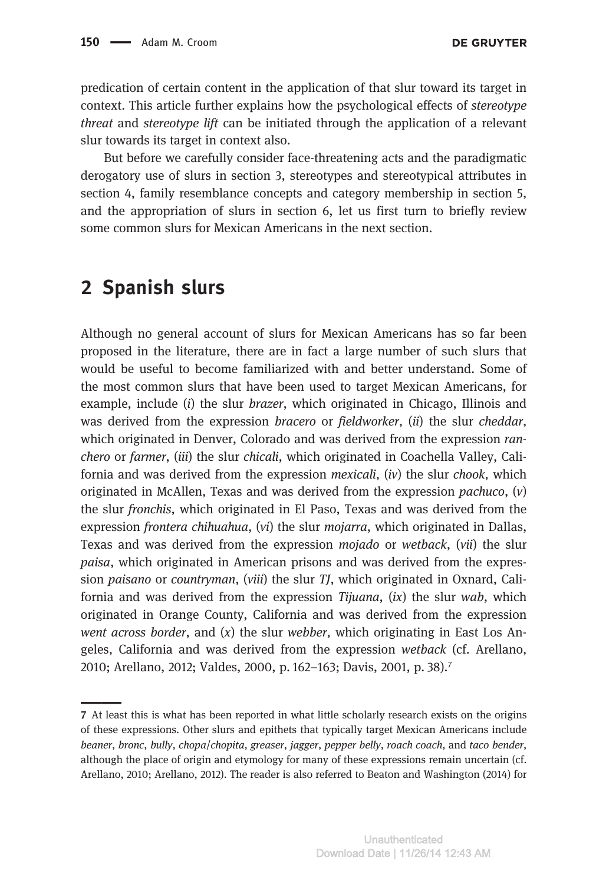predication of certain content in the application of that slur toward its target in context. This article further explains how the psychological effects of stereotype threat and stereotype lift can be initiated through the application of a relevant slur towards its target in context also.

But before we carefully consider face-threatening acts and the paradigmatic derogatory use of slurs in section 3, stereotypes and stereotypical attributes in section 4, family resemblance concepts and category membership in section 5, and the appropriation of slurs in section 6, let us first turn to briefly review some common slurs for Mexican Americans in the next section.

#### 2 Spanish slurs

\_\_\_

Although no general account of slurs for Mexican Americans has so far been proposed in the literature, there are in fact a large number of such slurs that would be useful to become familiarized with and better understand. Some of the most common slurs that have been used to target Mexican Americans, for example, include (i) the slur *brazer*, which originated in Chicago, Illinois and was derived from the expression bracero or fieldworker, (ii) the slur cheddar, which originated in Denver, Colorado and was derived from the expression ranchero or farmer, (iii) the slur chicali, which originated in Coachella Valley, California and was derived from the expression *mexicali*,  $(iv)$  the slur *chook*, which originated in McAllen, Texas and was derived from the expression *pachuco*,  $(v)$ the slur fronchis, which originated in El Paso, Texas and was derived from the expression *frontera chihuahua*, *(vi)* the slur *mojarra*, which originated in Dallas, Texas and was derived from the expression mojado or wetback, (vii) the slur paisa, which originated in American prisons and was derived from the expression *paisano* or *countryman*, *(viii)* the slur *TJ*, which originated in Oxnard, California and was derived from the expression *Tijuana*,  $(ix)$  the slur wab, which originated in Orange County, California and was derived from the expression went across border, and  $(x)$  the slur webber, which originating in East Los Angeles, California and was derived from the expression wetback (cf. Arellano, 2010; Arellano, 2012; Valdes, 2000, p. 162–163; Davis, 2001, p. 38).7

<sup>7</sup> At least this is what has been reported in what little scholarly research exists on the origins of these expressions. Other slurs and epithets that typically target Mexican Americans include beaner, bronc, bully, chopa/chopita, greaser, jagger, pepper belly, roach coach, and taco bender, although the place of origin and etymology for many of these expressions remain uncertain (cf. Arellano, 2010; Arellano, 2012). The reader is also referred to Beaton and Washington (2014) for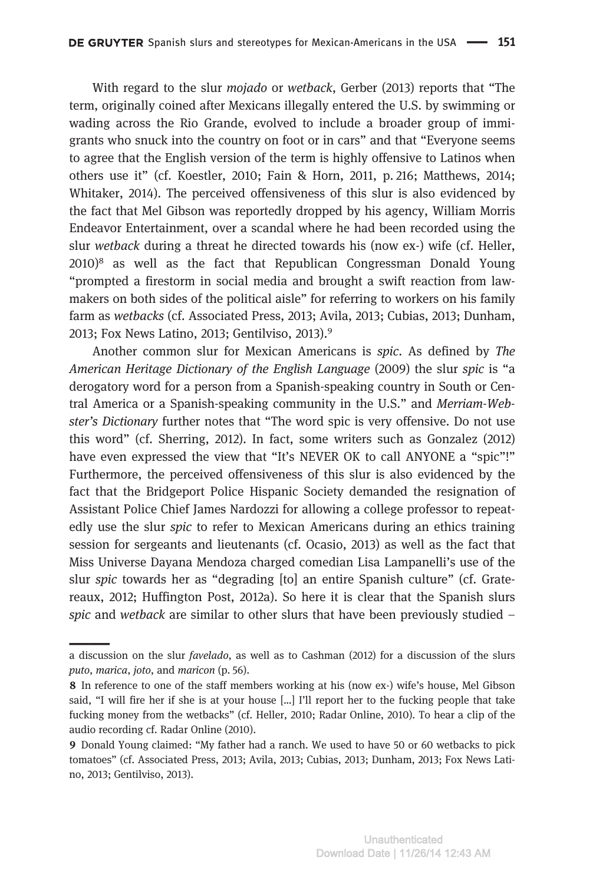With regard to the slur mojado or wetback, Gerber (2013) reports that "The term, originally coined after Mexicans illegally entered the U.S. by swimming or wading across the Rio Grande, evolved to include a broader group of immigrants who snuck into the country on foot or in cars" and that "Everyone seems to agree that the English version of the term is highly offensive to Latinos when others use it" (cf. Koestler, 2010; Fain & Horn, 2011, p. 216; Matthews, 2014; Whitaker, 2014). The perceived offensiveness of this slur is also evidenced by the fact that Mel Gibson was reportedly dropped by his agency, William Morris Endeavor Entertainment, over a scandal where he had been recorded using the slur wetback during a threat he directed towards his (now ex-) wife (cf. Heller,  $2010$ <sup>8</sup> as well as the fact that Republican Congressman Donald Young "prompted a firestorm in social media and brought a swift reaction from lawmakers on both sides of the political aisle" for referring to workers on his family farm as wetbacks (cf. Associated Press, 2013; Avila, 2013; Cubias, 2013; Dunham, 2013; Fox News Latino, 2013; Gentilviso, 2013).9

Another common slur for Mexican Americans is spic. As defined by The American Heritage Dictionary of the English Language (2009) the slur spic is "a derogatory word for a person from a Spanish-speaking country in South or Central America or a Spanish-speaking community in the U.S." and Merriam-Webster's Dictionary further notes that "The word spic is very offensive. Do not use this word" (cf. Sherring, 2012). In fact, some writers such as Gonzalez (2012) have even expressed the view that "It's NEVER OK to call ANYONE a "spic"!" Furthermore, the perceived offensiveness of this slur is also evidenced by the fact that the Bridgeport Police Hispanic Society demanded the resignation of Assistant Police Chief James Nardozzi for allowing a college professor to repeatedly use the slur spic to refer to Mexican Americans during an ethics training session for sergeants and lieutenants (cf. Ocasio, 2013) as well as the fact that Miss Universe Dayana Mendoza charged comedian Lisa Lampanelli's use of the slur spic towards her as "degrading [to] an entire Spanish culture" (cf. Gratereaux, 2012; Huffington Post, 2012a). So here it is clear that the Spanish slurs spic and wetback are similar to other slurs that have been previously studied -

\_\_\_

a discussion on the slur favelado, as well as to Cashman (2012) for a discussion of the slurs puto, marica, joto, and maricon (p. 56).

<sup>8</sup> In reference to one of the staff members working at his (now ex-) wife's house, Mel Gibson said, "I will fire her if she is at your house […] I'll report her to the fucking people that take fucking money from the wetbacks" (cf. Heller, 2010; Radar Online, 2010). To hear a clip of the audio recording cf. Radar Online (2010).

<sup>9</sup> Donald Young claimed: "My father had a ranch. We used to have 50 or 60 wetbacks to pick tomatoes" (cf. Associated Press, 2013; Avila, 2013; Cubias, 2013; Dunham, 2013; Fox News Latino, 2013; Gentilviso, 2013).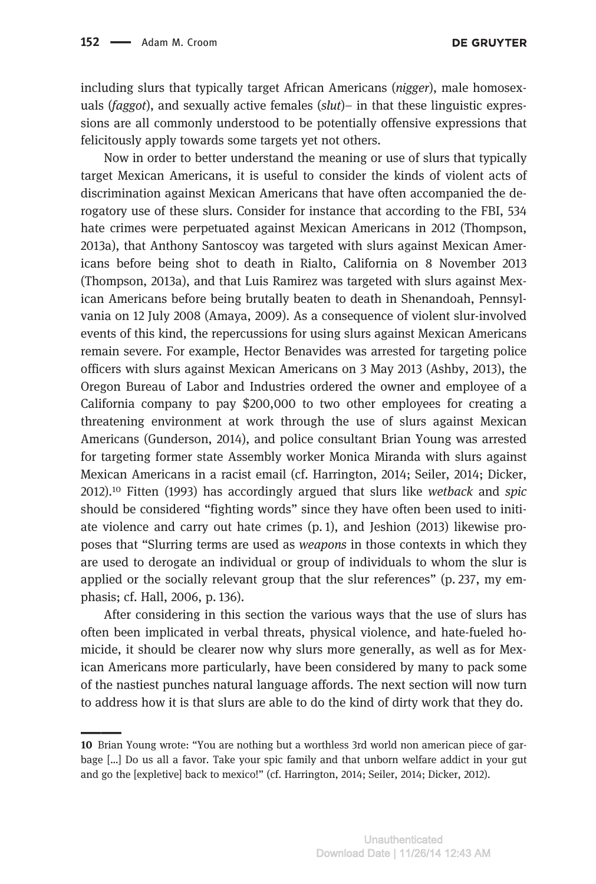including slurs that typically target African Americans (nigger), male homosexuals ( $faggot$ ), and sexually active females ( $slut$ ) – in that these linguistic expressions are all commonly understood to be potentially offensive expressions that felicitously apply towards some targets yet not others.

Now in order to better understand the meaning or use of slurs that typically target Mexican Americans, it is useful to consider the kinds of violent acts of discrimination against Mexican Americans that have often accompanied the derogatory use of these slurs. Consider for instance that according to the FBI, 534 hate crimes were perpetuated against Mexican Americans in 2012 (Thompson, 2013a), that Anthony Santoscoy was targeted with slurs against Mexican Americans before being shot to death in Rialto, California on 8 November 2013 (Thompson, 2013a), and that Luis Ramirez was targeted with slurs against Mexican Americans before being brutally beaten to death in Shenandoah, Pennsylvania on 12 July 2008 (Amaya, 2009). As a consequence of violent slur-involved events of this kind, the repercussions for using slurs against Mexican Americans remain severe. For example, Hector Benavides was arrested for targeting police officers with slurs against Mexican Americans on 3 May 2013 (Ashby, 2013), the Oregon Bureau of Labor and Industries ordered the owner and employee of a California company to pay \$200,000 to two other employees for creating a threatening environment at work through the use of slurs against Mexican Americans (Gunderson, 2014), and police consultant Brian Young was arrested for targeting former state Assembly worker Monica Miranda with slurs against Mexican Americans in a racist email (cf. Harrington, 2014; Seiler, 2014; Dicker, 2012).10 Fitten (1993) has accordingly argued that slurs like wetback and spic should be considered "fighting words" since they have often been used to initiate violence and carry out hate crimes (p. 1), and Jeshion (2013) likewise proposes that "Slurring terms are used as weapons in those contexts in which they are used to derogate an individual or group of individuals to whom the slur is applied or the socially relevant group that the slur references" (p. 237, my emphasis; cf. Hall, 2006, p. 136).

After considering in this section the various ways that the use of slurs has often been implicated in verbal threats, physical violence, and hate-fueled homicide, it should be clearer now why slurs more generally, as well as for Mexican Americans more particularly, have been considered by many to pack some of the nastiest punches natural language affords. The next section will now turn to address how it is that slurs are able to do the kind of dirty work that they do.

<sup>10</sup> Brian Young wrote: "You are nothing but a worthless 3rd world non american piece of garbage […] Do us all a favor. Take your spic family and that unborn welfare addict in your gut and go the [expletive] back to mexico!" (cf. Harrington, 2014; Seiler, 2014; Dicker, 2012).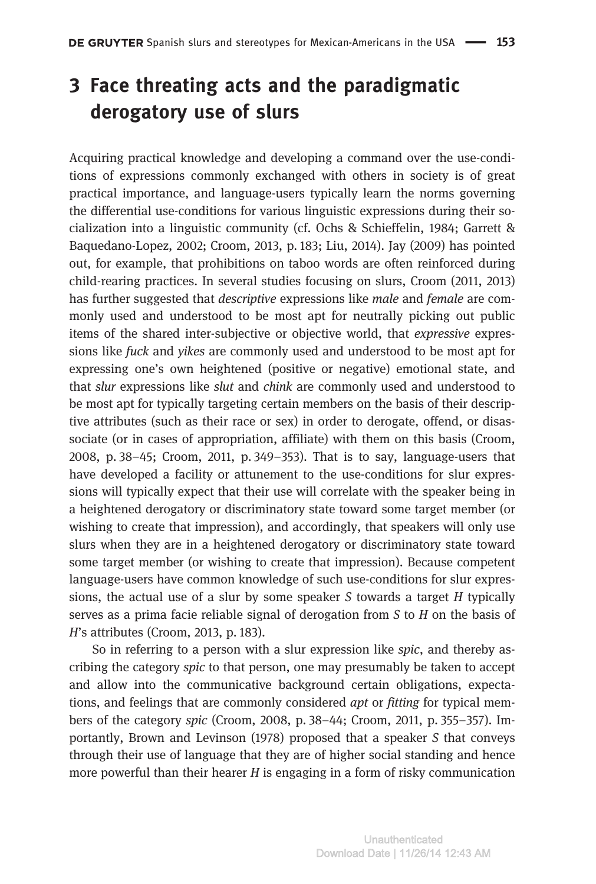# 3 Face threating acts and the paradigmatic derogatory use of slurs

Acquiring practical knowledge and developing a command over the use-conditions of expressions commonly exchanged with others in society is of great practical importance, and language-users typically learn the norms governing the differential use-conditions for various linguistic expressions during their socialization into a linguistic community (cf. Ochs & Schieffelin, 1984; Garrett & Baquedano-Lopez, 2002; Croom, 2013, p. 183; Liu, 2014). Jay (2009) has pointed out, for example, that prohibitions on taboo words are often reinforced during child-rearing practices. In several studies focusing on slurs, Croom (2011, 2013) has further suggested that *descriptive* expressions like male and female are commonly used and understood to be most apt for neutrally picking out public items of the shared inter-subjective or objective world, that expressive expressions like fuck and yikes are commonly used and understood to be most apt for expressing one's own heightened (positive or negative) emotional state, and that slur expressions like slut and chink are commonly used and understood to be most apt for typically targeting certain members on the basis of their descriptive attributes (such as their race or sex) in order to derogate, offend, or disassociate (or in cases of appropriation, affiliate) with them on this basis (Croom, 2008, p. 38–45; Croom, 2011, p. 349–353). That is to say, language-users that have developed a facility or attunement to the use-conditions for slur expressions will typically expect that their use will correlate with the speaker being in a heightened derogatory or discriminatory state toward some target member (or wishing to create that impression), and accordingly, that speakers will only use slurs when they are in a heightened derogatory or discriminatory state toward some target member (or wishing to create that impression). Because competent language-users have common knowledge of such use-conditions for slur expressions, the actual use of a slur by some speaker S towards a target  $H$  typically serves as a prima facie reliable signal of derogation from  $S$  to  $H$  on the basis of  $H$ 's attributes (Croom, 2013, p. 183).

So in referring to a person with a slur expression like spic, and thereby ascribing the category spic to that person, one may presumably be taken to accept and allow into the communicative background certain obligations, expectations, and feelings that are commonly considered *apt* or fitting for typical members of the category spic (Croom, 2008, p. 38–44; Croom, 2011, p. 355–357). Importantly, Brown and Levinson (1978) proposed that a speaker S that conveys through their use of language that they are of higher social standing and hence more powerful than their hearer  $H$  is engaging in a form of risky communication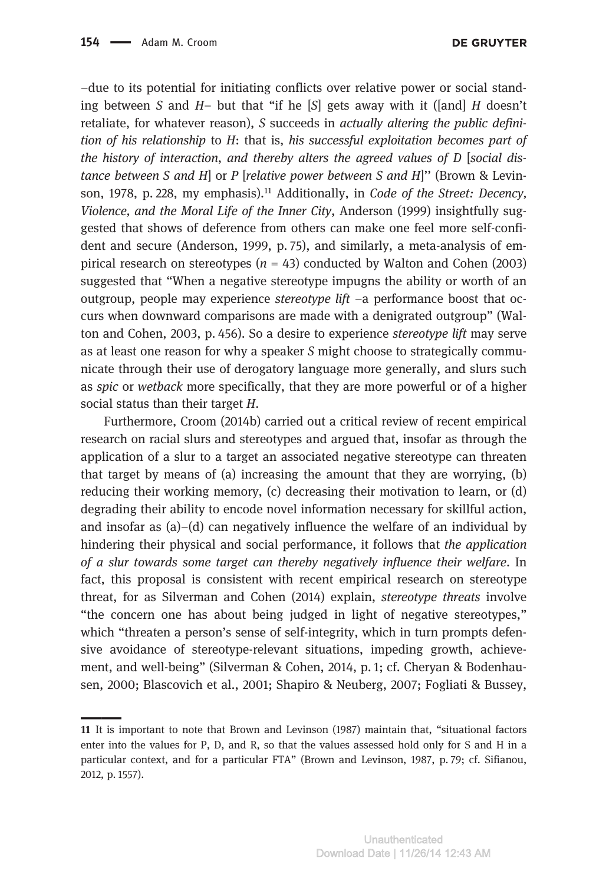\_\_\_

–due to its potential for initiating conflicts over relative power or social standing between S and  $H-$  but that "if he [S] gets away with it ([and]  $H$  doesn't retaliate, for whatever reason), S succeeds in actually altering the public definition of his relationship to H: that is, his successful exploitation becomes part of the history of interaction, and thereby alters the agreed values of  $D$  [social distance between S and H or P [relative power between S and H]" (Brown & Levinson, 1978, p. 228, my emphasis).<sup>11</sup> Additionally, in Code of the Street: Decency, Violence, and the Moral Life of the Inner City, Anderson (1999) insightfully suggested that shows of deference from others can make one feel more self-confident and secure (Anderson, 1999, p. 75), and similarly, a meta-analysis of empirical research on stereotypes ( $n = 43$ ) conducted by Walton and Cohen (2003) suggested that "When a negative stereotype impugns the ability or worth of an outgroup, people may experience stereotype lift –a performance boost that occurs when downward comparisons are made with a denigrated outgroup" (Walton and Cohen, 2003, p. 456). So a desire to experience stereotype lift may serve as at least one reason for why a speaker S might choose to strategically communicate through their use of derogatory language more generally, and slurs such as spic or wetback more specifically, that they are more powerful or of a higher social status than their target H.

Furthermore, Croom (2014b) carried out a critical review of recent empirical research on racial slurs and stereotypes and argued that, insofar as through the application of a slur to a target an associated negative stereotype can threaten that target by means of (a) increasing the amount that they are worrying, (b) reducing their working memory, (c) decreasing their motivation to learn, or (d) degrading their ability to encode novel information necessary for skillful action, and insofar as  $(a)$ – $(d)$  can negatively influence the welfare of an individual by hindering their physical and social performance, it follows that the application of a slur towards some target can thereby negatively influence their welfare. In fact, this proposal is consistent with recent empirical research on stereotype threat, for as Silverman and Cohen (2014) explain, stereotype threats involve "the concern one has about being judged in light of negative stereotypes," which "threaten a person's sense of self-integrity, which in turn prompts defensive avoidance of stereotype-relevant situations, impeding growth, achievement, and well-being" (Silverman & Cohen, 2014, p. 1; cf. Cheryan & Bodenhausen, 2000; Blascovich et al., 2001; Shapiro & Neuberg, 2007; Fogliati & Bussey,

<sup>11</sup> It is important to note that Brown and Levinson (1987) maintain that, "situational factors enter into the values for P, D, and R, so that the values assessed hold only for S and H in a particular context, and for a particular FTA" (Brown and Levinson, 1987, p. 79; cf. Sifianou, 2012, p. 1557).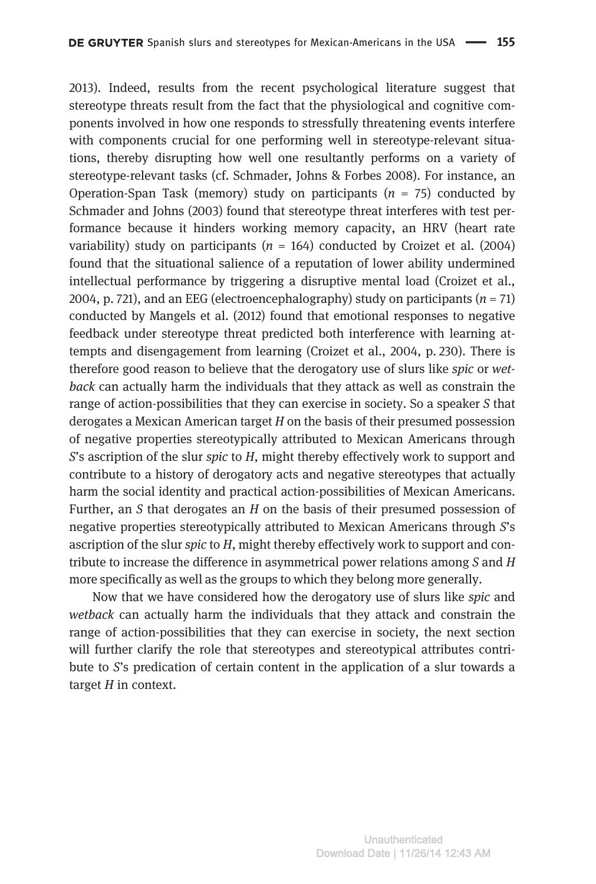2013). Indeed, results from the recent psychological literature suggest that stereotype threats result from the fact that the physiological and cognitive components involved in how one responds to stressfully threatening events interfere with components crucial for one performing well in stereotype-relevant situations, thereby disrupting how well one resultantly performs on a variety of stereotype-relevant tasks (cf. Schmader, Johns & Forbes 2008). For instance, an Operation-Span Task (memory) study on participants  $(n = 75)$  conducted by Schmader and Johns (2003) found that stereotype threat interferes with test performance because it hinders working memory capacity, an HRV (heart rate variability) study on participants ( $n = 164$ ) conducted by Croizet et al. (2004) found that the situational salience of a reputation of lower ability undermined intellectual performance by triggering a disruptive mental load (Croizet et al., 2004, p. 721), and an EEG (electroencephalography) study on participants  $(n = 71)$ conducted by Mangels et al. (2012) found that emotional responses to negative feedback under stereotype threat predicted both interference with learning attempts and disengagement from learning (Croizet et al., 2004, p. 230). There is therefore good reason to believe that the derogatory use of slurs like spic or wetback can actually harm the individuals that they attack as well as constrain the range of action-possibilities that they can exercise in society. So a speaker S that derogates a Mexican American target  $H$  on the basis of their presumed possession of negative properties stereotypically attributed to Mexican Americans through  $S$ 's ascription of the slur spic to  $H$ , might thereby effectively work to support and contribute to a history of derogatory acts and negative stereotypes that actually harm the social identity and practical action-possibilities of Mexican Americans. Further, an  $S$  that derogates an  $H$  on the basis of their presumed possession of negative properties stereotypically attributed to Mexican Americans through S's ascription of the slur *spic* to  $H$ , might thereby effectively work to support and contribute to increase the difference in asymmetrical power relations among  $S$  and  $H$ more specifically as well as the groups to which they belong more generally.

Now that we have considered how the derogatory use of slurs like spic and wetback can actually harm the individuals that they attack and constrain the range of action-possibilities that they can exercise in society, the next section will further clarify the role that stereotypes and stereotypical attributes contribute to S's predication of certain content in the application of a slur towards a target  $H$  in context.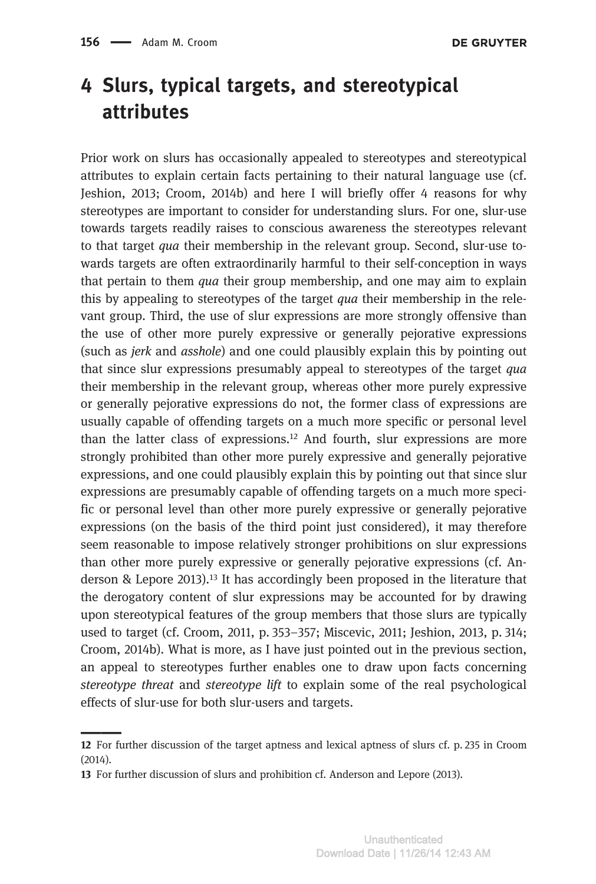### 4 Slurs, typical targets, and stereotypical attributes

Prior work on slurs has occasionally appealed to stereotypes and stereotypical attributes to explain certain facts pertaining to their natural language use (cf. Jeshion, 2013; Croom, 2014b) and here I will briefly offer 4 reasons for why stereotypes are important to consider for understanding slurs. For one, slur-use towards targets readily raises to conscious awareness the stereotypes relevant to that target *qua* their membership in the relevant group. Second, slur-use towards targets are often extraordinarily harmful to their self-conception in ways that pertain to them *qua* their group membership, and one may aim to explain this by appealing to stereotypes of the target *qua* their membership in the relevant group. Third, the use of slur expressions are more strongly offensive than the use of other more purely expressive or generally pejorative expressions (such as jerk and asshole) and one could plausibly explain this by pointing out that since slur expressions presumably appeal to stereotypes of the target qua their membership in the relevant group, whereas other more purely expressive or generally pejorative expressions do not, the former class of expressions are usually capable of offending targets on a much more specific or personal level than the latter class of expressions.<sup>12</sup> And fourth, slur expressions are more strongly prohibited than other more purely expressive and generally pejorative expressions, and one could plausibly explain this by pointing out that since slur expressions are presumably capable of offending targets on a much more specific or personal level than other more purely expressive or generally pejorative expressions (on the basis of the third point just considered), it may therefore seem reasonable to impose relatively stronger prohibitions on slur expressions than other more purely expressive or generally pejorative expressions (cf. Anderson & Lepore 2013).<sup>13</sup> It has accordingly been proposed in the literature that the derogatory content of slur expressions may be accounted for by drawing upon stereotypical features of the group members that those slurs are typically used to target (cf. Croom, 2011, p. 353–357; Miscevic, 2011; Jeshion, 2013, p. 314; Croom, 2014b). What is more, as I have just pointed out in the previous section, an appeal to stereotypes further enables one to draw upon facts concerning stereotype threat and stereotype lift to explain some of the real psychological effects of slur-use for both slur-users and targets.

<sup>12</sup> For further discussion of the target aptness and lexical aptness of slurs cf. p. 235 in Croom (2014).

<sup>13</sup> For further discussion of slurs and prohibition cf. Anderson and Lepore (2013).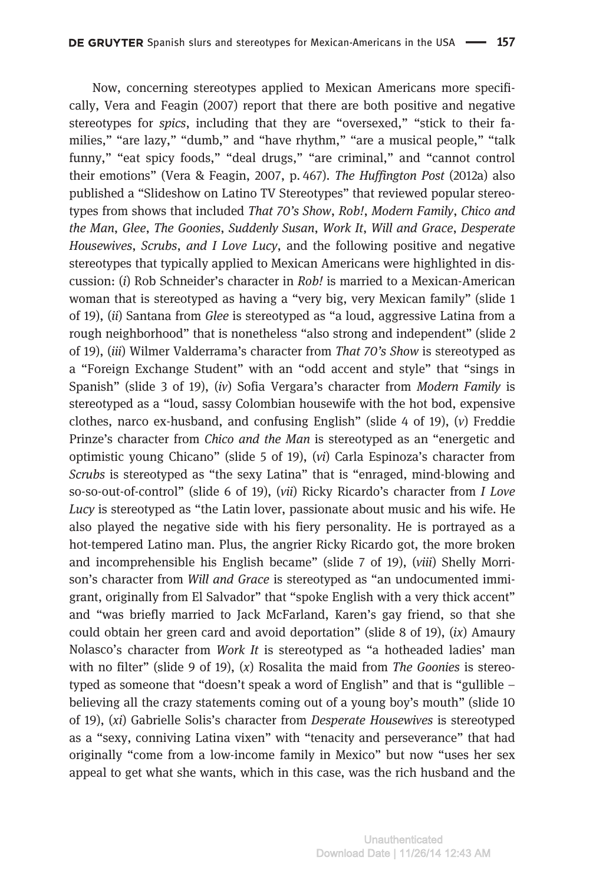Now, concerning stereotypes applied to Mexican Americans more specifically, Vera and Feagin (2007) report that there are both positive and negative stereotypes for *spics*, including that they are "oversexed," "stick to their families," "are lazy," "dumb," and "have rhythm," "are a musical people," "talk funny," "eat spicy foods," "deal drugs," "are criminal," and "cannot control their emotions" (Vera & Feagin, 2007, p. 467). The Huffington Post (2012a) also published a "Slideshow on Latino TV Stereotypes" that reviewed popular stereotypes from shows that included That 70's Show, Rob!, Modern Family, Chico and the Man, Glee, The Goonies, Suddenly Susan, Work It, Will and Grace, Desperate Housewives, Scrubs, and I Love Lucy, and the following positive and negative stereotypes that typically applied to Mexican Americans were highlighted in discussion: (i) Rob Schneider's character in Rob! is married to a Mexican-American woman that is stereotyped as having a "very big, very Mexican family" (slide 1 of 19), (ii) Santana from Glee is stereotyped as "a loud, aggressive Latina from a rough neighborhood" that is nonetheless "also strong and independent" (slide 2 of 19), (iii) Wilmer Valderrama's character from That 70's Show is stereotyped as a "Foreign Exchange Student" with an "odd accent and style" that "sings in Spanish" (slide 3 of 19), (iv) Sofia Vergara's character from Modern Family is stereotyped as a "loud, sassy Colombian housewife with the hot bod, expensive clothes, narco ex-husband, and confusing English" (slide 4 of 19),  $(v)$  Freddie Prinze's character from Chico and the Man is stereotyped as an "energetic and optimistic young Chicano" (slide 5 of 19),  $(vi)$  Carla Espinoza's character from Scrubs is stereotyped as "the sexy Latina" that is "enraged, mind-blowing and so-so-out-of-control" (slide 6 of 19), (vii) Ricky Ricardo's character from I Love Lucy is stereotyped as "the Latin lover, passionate about music and his wife. He also played the negative side with his fiery personality. He is portrayed as a hot-tempered Latino man. Plus, the angrier Ricky Ricardo got, the more broken and incomprehensible his English became" (slide 7 of 19), (viii) Shelly Morrison's character from Will and Grace is stereotyped as "an undocumented immigrant, originally from El Salvador" that "spoke English with a very thick accent" and "was briefly married to Jack McFarland, Karen's gay friend, so that she could obtain her green card and avoid deportation" (slide 8 of 19),  $(ix)$  Amaury Nolasco's character from Work It is stereotyped as "a hotheaded ladies' man with no filter" (slide 9 of 19),  $(x)$  Rosalita the maid from The Goonies is stereotyped as someone that "doesn't speak a word of English" and that is "gullible – believing all the crazy statements coming out of a young boy's mouth" (slide 10 of 19), (xi) Gabrielle Solis's character from Desperate Housewives is stereotyped as a "sexy, conniving Latina vixen" with "tenacity and perseverance" that had originally "come from a low-income family in Mexico" but now "uses her sex appeal to get what she wants, which in this case, was the rich husband and the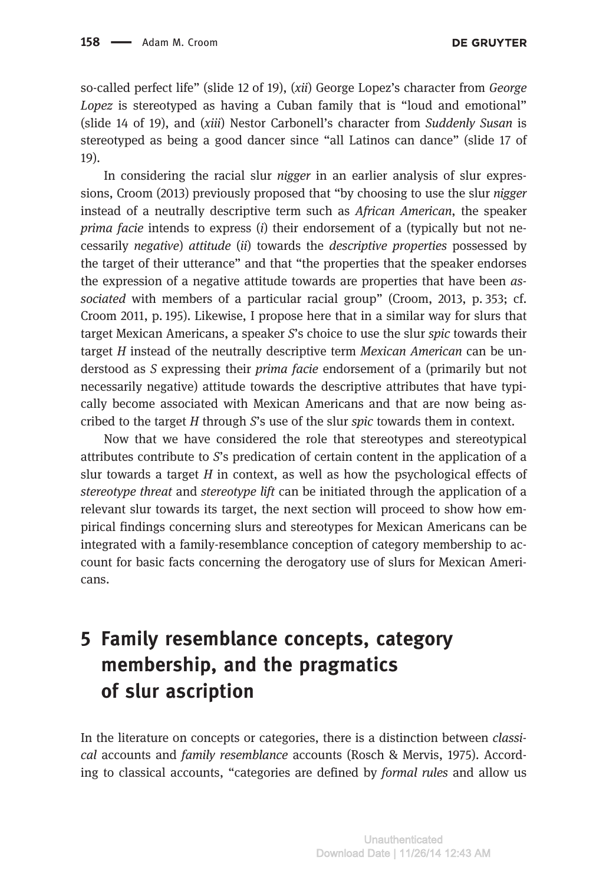so-called perfect life" (slide 12 of 19), (xii) George Lopez's character from George Lopez is stereotyped as having a Cuban family that is "loud and emotional" (slide 14 of 19), and (xiii) Nestor Carbonell's character from Suddenly Susan is stereotyped as being a good dancer since "all Latinos can dance" (slide 17 of 19).

In considering the racial slur *nigger* in an earlier analysis of slur expressions, Croom (2013) previously proposed that "by choosing to use the slur nigger instead of a neutrally descriptive term such as African American, the speaker prima facie intends to express (i) their endorsement of a (typically but not necessarily negative) attitude (ii) towards the descriptive properties possessed by the target of their utterance" and that "the properties that the speaker endorses the expression of a negative attitude towards are properties that have been associated with members of a particular racial group" (Croom, 2013, p. 353; cf. Croom 2011, p. 195). Likewise, I propose here that in a similar way for slurs that target Mexican Americans, a speaker S's choice to use the slur *spic* towards their target  $H$  instead of the neutrally descriptive term *Mexican American* can be understood as S expressing their prima facie endorsement of a (primarily but not necessarily negative) attitude towards the descriptive attributes that have typically become associated with Mexican Americans and that are now being ascribed to the target H through S's use of the slur spic towards them in context.

Now that we have considered the role that stereotypes and stereotypical attributes contribute to S's predication of certain content in the application of a slur towards a target  $H$  in context, as well as how the psychological effects of stereotype threat and stereotype lift can be initiated through the application of a relevant slur towards its target, the next section will proceed to show how empirical findings concerning slurs and stereotypes for Mexican Americans can be integrated with a family-resemblance conception of category membership to account for basic facts concerning the derogatory use of slurs for Mexican Americans.

## 5 Family resemblance concepts, category membership, and the pragmatics of slur ascription

In the literature on concepts or categories, there is a distinction between classical accounts and family resemblance accounts (Rosch & Mervis, 1975). According to classical accounts, "categories are defined by formal rules and allow us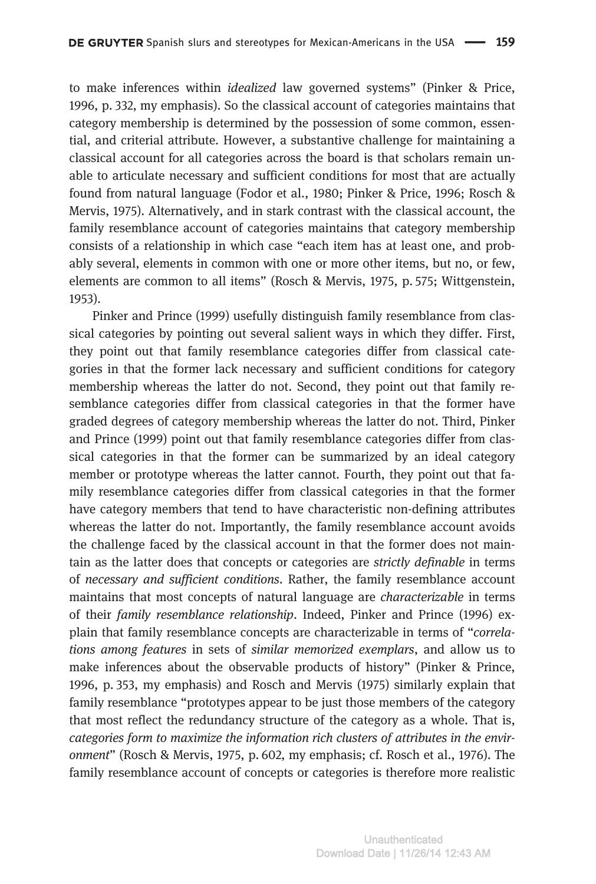to make inferences within idealized law governed systems" (Pinker & Price, 1996, p. 332, my emphasis). So the classical account of categories maintains that category membership is determined by the possession of some common, essential, and criterial attribute. However, a substantive challenge for maintaining a classical account for all categories across the board is that scholars remain unable to articulate necessary and sufficient conditions for most that are actually found from natural language (Fodor et al., 1980; Pinker & Price, 1996; Rosch & Mervis, 1975). Alternatively, and in stark contrast with the classical account, the family resemblance account of categories maintains that category membership consists of a relationship in which case "each item has at least one, and probably several, elements in common with one or more other items, but no, or few, elements are common to all items" (Rosch & Mervis, 1975, p. 575; Wittgenstein, 1953).

Pinker and Prince (1999) usefully distinguish family resemblance from classical categories by pointing out several salient ways in which they differ. First, they point out that family resemblance categories differ from classical categories in that the former lack necessary and sufficient conditions for category membership whereas the latter do not. Second, they point out that family resemblance categories differ from classical categories in that the former have graded degrees of category membership whereas the latter do not. Third, Pinker and Prince (1999) point out that family resemblance categories differ from classical categories in that the former can be summarized by an ideal category member or prototype whereas the latter cannot. Fourth, they point out that family resemblance categories differ from classical categories in that the former have category members that tend to have characteristic non-defining attributes whereas the latter do not. Importantly, the family resemblance account avoids the challenge faced by the classical account in that the former does not maintain as the latter does that concepts or categories are strictly definable in terms of necessary and sufficient conditions. Rather, the family resemblance account maintains that most concepts of natural language are characterizable in terms of their family resemblance relationship. Indeed, Pinker and Prince (1996) explain that family resemblance concepts are characterizable in terms of "correlations among features in sets of similar memorized exemplars, and allow us to make inferences about the observable products of history" (Pinker & Prince, 1996, p. 353, my emphasis) and Rosch and Mervis (1975) similarly explain that family resemblance "prototypes appear to be just those members of the category that most reflect the redundancy structure of the category as a whole. That is, categories form to maximize the information rich clusters of attributes in the environment" (Rosch & Mervis, 1975, p. 602, my emphasis; cf. Rosch et al., 1976). The family resemblance account of concepts or categories is therefore more realistic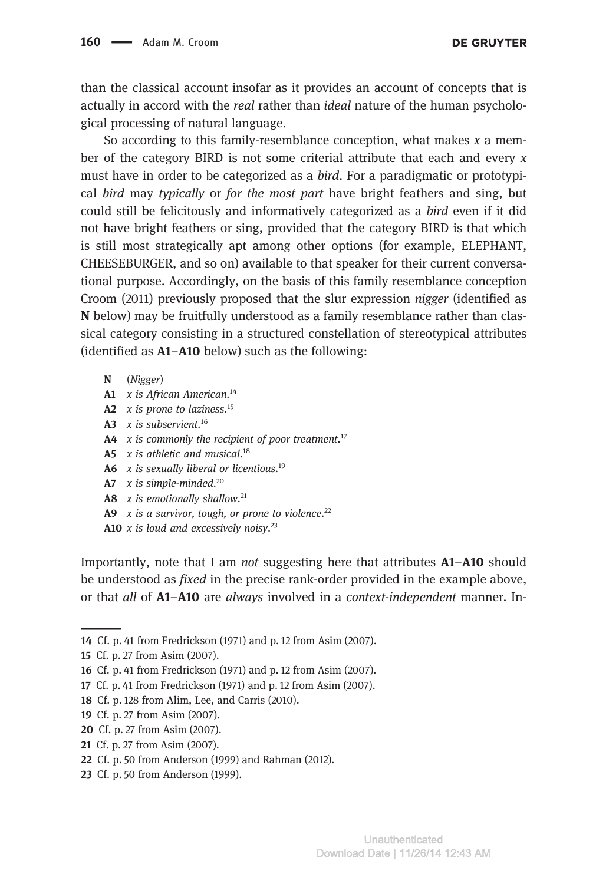than the classical account insofar as it provides an account of concepts that is actually in accord with the *real* rather than *ideal* nature of the human psychological processing of natural language.

So according to this family-resemblance conception, what makes  $x$  a member of the category BIRD is not some criterial attribute that each and every  $x$ must have in order to be categorized as a bird. For a paradigmatic or prototypical bird may typically or for the most part have bright feathers and sing, but could still be felicitously and informatively categorized as a bird even if it did not have bright feathers or sing, provided that the category BIRD is that which is still most strategically apt among other options (for example, ELEPHANT, CHEESEBURGER, and so on) available to that speaker for their current conversational purpose. Accordingly, on the basis of this family resemblance conception Croom (2011) previously proposed that the slur expression nigger (identified as N below) may be fruitfully understood as a family resemblance rather than classical category consisting in a structured constellation of stereotypical attributes (identified as A1–A10 below) such as the following:

- N (Nigger)
- A1 x is African American.<sup>14</sup>
- A2  $\times$  is prone to laziness.<sup>15</sup>
- A3  $x$  is subservient.<sup>16</sup>
- A4  $\,x$  is commonly the recipient of poor treatment.<sup>17</sup>
- A5  $\times$  is athletic and musical.<sup>18</sup>
- A6  $\times$  is sexually liberal or licentious.<sup>19</sup>
- A7  $x$  is simple-minded.<sup>20</sup>
- A8  $x$  is emotionally shallow.<sup>21</sup>
- A9  $x$  is a survivor, tough, or prone to violence.<sup>22</sup>
- A10  $x$  is loud and excessively noisy.<sup>23</sup>

Importantly, note that I am not suggesting here that attributes A1–A10 should be understood as fixed in the precise rank-order provided in the example above, or that all of **A1–A10** are always involved in a *context-independent* manner. In-

14 Cf. p. 41 from Fredrickson (1971) and p. 12 from Asim (2007).

\_\_\_\_\_\_

- 19 Cf. p. 27 from Asim (2007).
- 20 Cf. p. 27 from Asim (2007).
- 21 Cf. p. 27 from Asim (2007).
- 22 Cf. p. 50 from Anderson (1999) and Rahman (2012).
- 23 Cf. p. 50 from Anderson (1999).

<sup>15</sup> Cf. p. 27 from Asim (2007).

<sup>16</sup> Cf. p. 41 from Fredrickson (1971) and p. 12 from Asim (2007).

<sup>17</sup> Cf. p. 41 from Fredrickson (1971) and p. 12 from Asim (2007).

<sup>18</sup> Cf. p. 128 from Alim, Lee, and Carris (2010).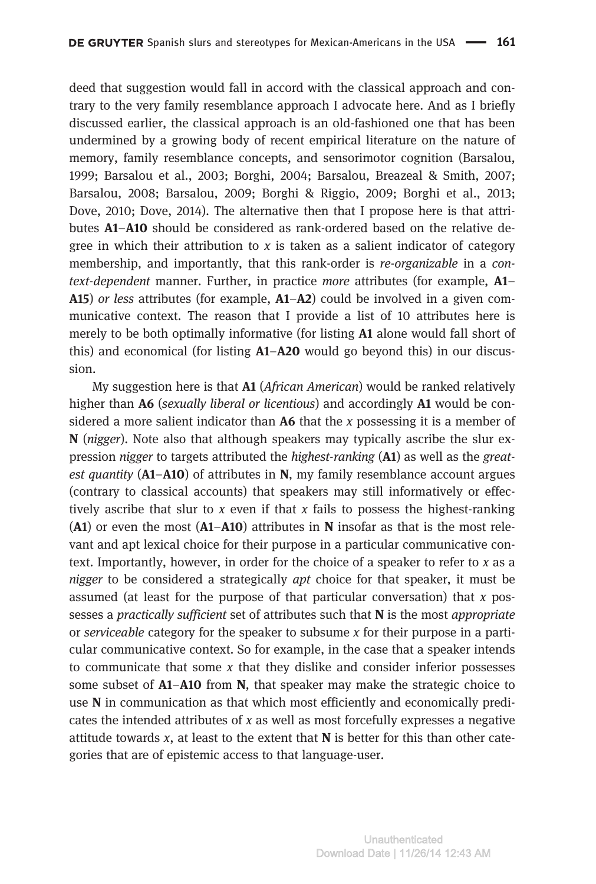deed that suggestion would fall in accord with the classical approach and contrary to the very family resemblance approach I advocate here. And as I briefly discussed earlier, the classical approach is an old-fashioned one that has been undermined by a growing body of recent empirical literature on the nature of memory, family resemblance concepts, and sensorimotor cognition (Barsalou, 1999; Barsalou et al., 2003; Borghi, 2004; Barsalou, Breazeal & Smith, 2007; Barsalou, 2008; Barsalou, 2009; Borghi & Riggio, 2009; Borghi et al., 2013; Dove, 2010; Dove, 2014). The alternative then that I propose here is that attributes A1–A10 should be considered as rank-ordered based on the relative degree in which their attribution to  $x$  is taken as a salient indicator of category membership, and importantly, that this rank-order is *re-organizable* in a *con*text-dependent manner. Further, in practice more attributes (for example, A1– A15) or less attributes (for example,  $A1-A2$ ) could be involved in a given communicative context. The reason that I provide a list of 10 attributes here is merely to be both optimally informative (for listing A1 alone would fall short of this) and economical (for listing A1–A20 would go beyond this) in our discussion.

My suggestion here is that A1 (African American) would be ranked relatively higher than A6 (sexually liberal or licentious) and accordingly A1 would be considered a more salient indicator than  $A6$  that the x possessing it is a member of N (nigger). Note also that although speakers may typically ascribe the slur expression nigger to targets attributed the highest-ranking (A1) as well as the greatest quantity  $(A1-A10)$  of attributes in N, my family resemblance account argues (contrary to classical accounts) that speakers may still informatively or effectively ascribe that slur to x even if that x fails to possess the highest-ranking  $(A1)$  or even the most  $(A1-A10)$  attributes in N insofar as that is the most relevant and apt lexical choice for their purpose in a particular communicative context. Importantly, however, in order for the choice of a speaker to refer to  $x$  as a nigger to be considered a strategically *apt* choice for that speaker, it must be assumed (at least for the purpose of that particular conversation) that  $x$  possesses a practically sufficient set of attributes such that N is the most appropriate or serviceable category for the speaker to subsume  $x$  for their purpose in a particular communicative context. So for example, in the case that a speaker intends to communicate that some  $x$  that they dislike and consider inferior possesses some subset of A1–A10 from N, that speaker may make the strategic choice to use N in communication as that which most efficiently and economically predicates the intended attributes of  $x$  as well as most forcefully expresses a negative attitude towards  $x$ , at least to the extent that  $N$  is better for this than other categories that are of epistemic access to that language-user.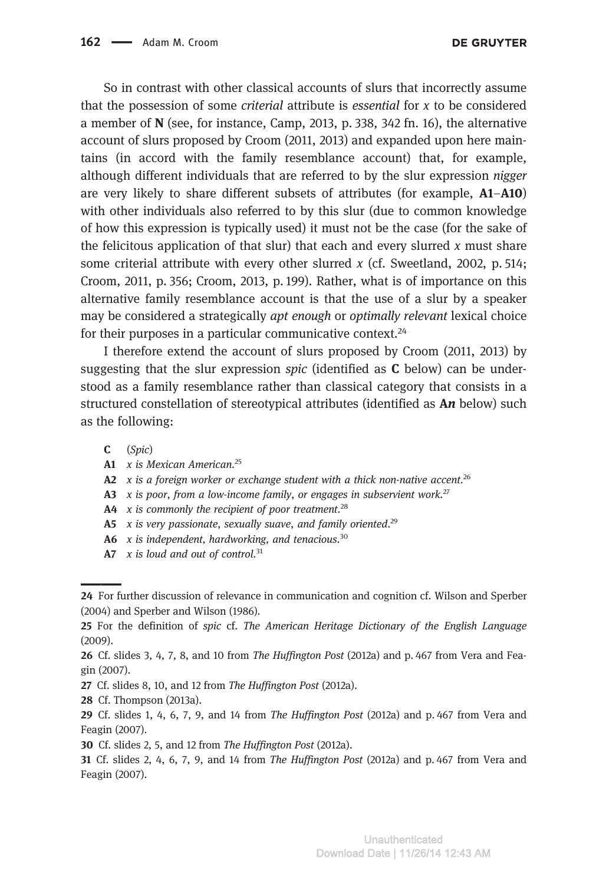So in contrast with other classical accounts of slurs that incorrectly assume that the possession of some *criterial* attribute is *essential* for  $x$  to be considered a member of N (see, for instance, Camp, 2013, p. 338, 342 fn. 16), the alternative account of slurs proposed by Croom (2011, 2013) and expanded upon here maintains (in accord with the family resemblance account) that, for example, although different individuals that are referred to by the slur expression *nigger* are very likely to share different subsets of attributes (for example, A1–A10) with other individuals also referred to by this slur (due to common knowledge of how this expression is typically used) it must not be the case (for the sake of the felicitous application of that slur) that each and every slurred  $x$  must share some criterial attribute with every other slurred  $x$  (cf. Sweetland, 2002, p. 514; Croom, 2011, p. 356; Croom, 2013, p. 199). Rather, what is of importance on this alternative family resemblance account is that the use of a slur by a speaker may be considered a strategically *apt enough* or *optimally relevant* lexical choice for their purposes in a particular communicative context.<sup>24</sup>

I therefore extend the account of slurs proposed by Croom (2011, 2013) by suggesting that the slur expression *spic* (identified as  $C$  below) can be understood as a family resemblance rather than classical category that consists in a structured constellation of stereotypical attributes (identified as An below) such as the following:

C (Spic)

\_\_\_

- A1 x is Mexican American.<sup>25</sup>
- A2  $\times$  is a foreign worker or exchange student with a thick non-native accent.<sup>26</sup>
- A3  $x$  is poor, from a low-income family, or engages in subservient work.<sup>27</sup>
- A4  $\times$  is commonly the recipient of poor treatment.<sup>28</sup>
- A5  $x$  is very passionate, sexually suave, and family oriented.<sup>29</sup>
- A6  $\times$  is independent, hardworking, and tenacious.<sup>30</sup>
- A7  $x$  is loud and out of control.<sup>31</sup>

27 Cf. slides 8, 10, and 12 from The Huffington Post (2012a).

<sup>24</sup> For further discussion of relevance in communication and cognition cf. Wilson and Sperber (2004) and Sperber and Wilson (1986).

<sup>25</sup> For the definition of spic cf. The American Heritage Dictionary of the English Language (2009).

<sup>26</sup> Cf. slides 3, 4, 7, 8, and 10 from The Huffington Post (2012a) and p. 467 from Vera and Feagin (2007).

<sup>28</sup> Cf. Thompson (2013a).

<sup>29</sup> Cf. slides 1, 4, 6, 7, 9, and 14 from The Huffington Post (2012a) and p. 467 from Vera and Feagin (2007).

<sup>30</sup> Cf. slides 2, 5, and 12 from The Huffington Post (2012a).

**<sup>31</sup>** Cf. slides 2, 4, 6, 7, 9, and 14 from *The Huffington Post* (2012a) and p. 467 from Vera and Feagin (2007).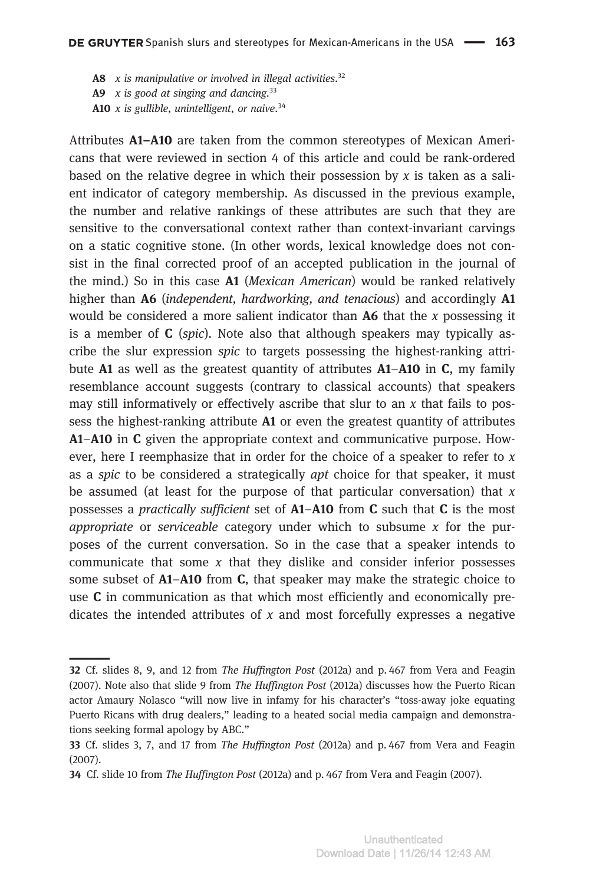- A8  $\times$  is manipulative or involved in illegal activities.<sup>32</sup>
- A9  $x$  is good at singing and dancing.<sup>33</sup>
- A10  $x$  is gullible, unintelligent, or naive.<sup>34</sup>

\_\_\_

Attributes A1–A10 are taken from the common stereotypes of Mexican Americans that were reviewed in section 4 of this article and could be rank-ordered based on the relative degree in which their possession by  $x$  is taken as a salient indicator of category membership. As discussed in the previous example, the number and relative rankings of these attributes are such that they are sensitive to the conversational context rather than context-invariant carvings on a static cognitive stone. (In other words, lexical knowledge does not consist in the final corrected proof of an accepted publication in the journal of the mind.) So in this case A1 (Mexican American) would be ranked relatively higher than A6 (independent, hardworking, and tenacious) and accordingly A1 would be considered a more salient indicator than  $A6$  that the x possessing it is a member of  $C$  (*spic*). Note also that although speakers may typically ascribe the slur expression spic to targets possessing the highest-ranking attribute  $A1$  as well as the greatest quantity of attributes  $A1-A10$  in C, my family resemblance account suggests (contrary to classical accounts) that speakers may still informatively or effectively ascribe that slur to an  $x$  that fails to possess the highest-ranking attribute A1 or even the greatest quantity of attributes A1–A10 in C given the appropriate context and communicative purpose. However, here I reemphasize that in order for the choice of a speaker to refer to  $x$ as a *spic* to be considered a strategically *apt* choice for that speaker, it must be assumed (at least for the purpose of that particular conversation) that  $x$ possesses a *practically sufficient* set of **A1–A10** from **C** such that **C** is the most appropriate or serviceable category under which to subsume  $x$  for the purposes of the current conversation. So in the case that a speaker intends to communicate that some  $x$  that they dislike and consider inferior possesses some subset of **A1–A10** from **C**, that speaker may make the strategic choice to use C in communication as that which most efficiently and economically predicates the intended attributes of  $x$  and most forcefully expresses a negative

<sup>32</sup> Cf. slides 8, 9, and 12 from The Huffington Post (2012a) and p. 467 from Vera and Feagin (2007). Note also that slide 9 from The Huffington Post (2012a) discusses how the Puerto Rican actor Amaury Nolasco "will now live in infamy for his character's "toss-away joke equating Puerto Ricans with drug dealers," leading to a heated social media campaign and demonstrations seeking formal apology by ABC."

<sup>33</sup> Cf. slides 3, 7, and 17 from The Huffington Post (2012a) and p. 467 from Vera and Feagin (2007).

<sup>34</sup> Cf. slide 10 from The Huffington Post (2012a) and p. 467 from Vera and Feagin (2007).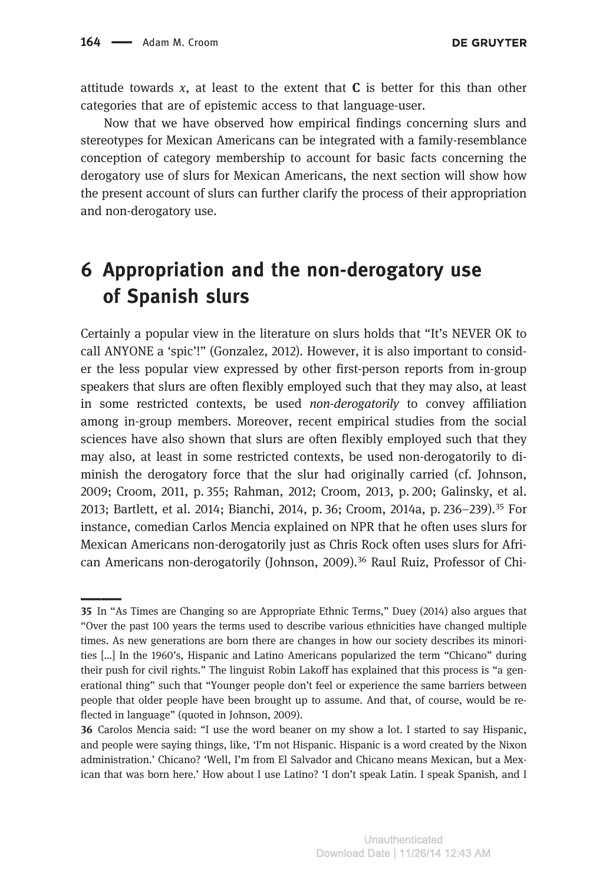\_\_\_

attitude towards  $x$ , at least to the extent that  $C$  is better for this than other categories that are of epistemic access to that language-user.

Now that we have observed how empirical findings concerning slurs and stereotypes for Mexican Americans can be integrated with a family-resemblance conception of category membership to account for basic facts concerning the derogatory use of slurs for Mexican Americans, the next section will show how the present account of slurs can further clarify the process of their appropriation and non-derogatory use.

#### 6 Appropriation and the non-derogatory use of Spanish slurs

Certainly a popular view in the literature on slurs holds that "It's NEVER OK to call ANYONE a 'spic'!" (Gonzalez, 2012). However, it is also important to consider the less popular view expressed by other first-person reports from in-group speakers that slurs are often flexibly employed such that they may also, at least in some restricted contexts, be used non-derogatorily to convey affiliation among in-group members. Moreover, recent empirical studies from the social sciences have also shown that slurs are often flexibly employed such that they may also, at least in some restricted contexts, be used non-derogatorily to diminish the derogatory force that the slur had originally carried (cf. Johnson, 2009; Croom, 2011, p. 355; Rahman, 2012; Croom, 2013, p. 200; Galinsky, et al. 2013; Bartlett, et al. 2014; Bianchi, 2014, p. 36; Croom, 2014a, p. 236–239).35 For instance, comedian Carlos Mencia explained on NPR that he often uses slurs for Mexican Americans non-derogatorily just as Chris Rock often uses slurs for African Americans non-derogatorily (Johnson, 2009).36 Raul Ruiz, Professor of Chi-

<sup>35</sup> In "As Times are Changing so are Appropriate Ethnic Terms," Duey (2014) also argues that "Over the past 100 years the terms used to describe various ethnicities have changed multiple times. As new generations are born there are changes in how our society describes its minorities […] In the 1960's, Hispanic and Latino Americans popularized the term "Chicano" during their push for civil rights." The linguist Robin Lakoff has explained that this process is "a generational thing" such that "Younger people don't feel or experience the same barriers between people that older people have been brought up to assume. And that, of course, would be reflected in language" (quoted in Johnson, 2009).

<sup>36</sup> Carolos Mencia said: "I use the word beaner on my show a lot. I started to say Hispanic, and people were saying things, like, 'I'm not Hispanic. Hispanic is a word created by the Nixon administration.' Chicano? 'Well, I'm from El Salvador and Chicano means Mexican, but a Mexican that was born here.' How about I use Latino? 'I don't speak Latin. I speak Spanish, and I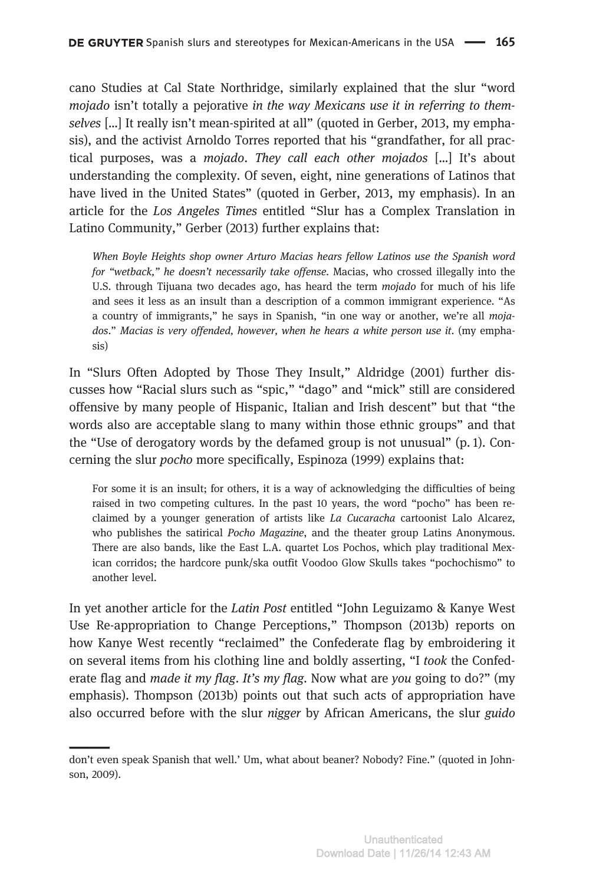cano Studies at Cal State Northridge, similarly explained that the slur "word mojado isn't totally a pejorative in the way Mexicans use it in referring to themselves […] It really isn't mean-spirited at all" (quoted in Gerber, 2013, my emphasis), and the activist Arnoldo Torres reported that his "grandfather, for all practical purposes, was a mojado. They call each other mojados […] It's about understanding the complexity. Of seven, eight, nine generations of Latinos that have lived in the United States" (quoted in Gerber, 2013, my emphasis). In an article for the Los Angeles Times entitled "Slur has a Complex Translation in Latino Community," Gerber (2013) further explains that:

When Boyle Heights shop owner Arturo Macias hears fellow Latinos use the Spanish word for "wetback," he doesn't necessarily take offense. Macias, who crossed illegally into the U.S. through Tijuana two decades ago, has heard the term mojado for much of his life and sees it less as an insult than a description of a common immigrant experience. "As a country of immigrants," he says in Spanish, "in one way or another, we're all mojados." Macias is very offended, however, when he hears a white person use it. (my emphasis)

In "Slurs Often Adopted by Those They Insult," Aldridge (2001) further discusses how "Racial slurs such as "spic," "dago" and "mick" still are considered offensive by many people of Hispanic, Italian and Irish descent" but that "the words also are acceptable slang to many within those ethnic groups" and that the "Use of derogatory words by the defamed group is not unusual" (p. 1). Concerning the slur pocho more specifically, Espinoza (1999) explains that:

For some it is an insult; for others, it is a way of acknowledging the difficulties of being raised in two competing cultures. In the past 10 years, the word "pocho" has been reclaimed by a younger generation of artists like La Cucaracha cartoonist Lalo Alcarez, who publishes the satirical *Pocho Magazine*, and the theater group Latins Anonymous. There are also bands, like the East L.A. quartet Los Pochos, which play traditional Mexican corridos; the hardcore punk/ska outfit Voodoo Glow Skulls takes "pochochismo" to another level.

In yet another article for the Latin Post entitled "John Leguizamo & Kanye West Use Re-appropriation to Change Perceptions," Thompson (2013b) reports on how Kanye West recently "reclaimed" the Confederate flag by embroidering it on several items from his clothing line and boldly asserting, "I took the Confederate flag and *made it my flag. It's my flag*. Now what are *you* going to do?" (my emphasis). Thompson (2013b) points out that such acts of appropriation have also occurred before with the slur nigger by African Americans, the slur guido

don't even speak Spanish that well.' Um, what about beaner? Nobody? Fine." (quoted in Johnson, 2009).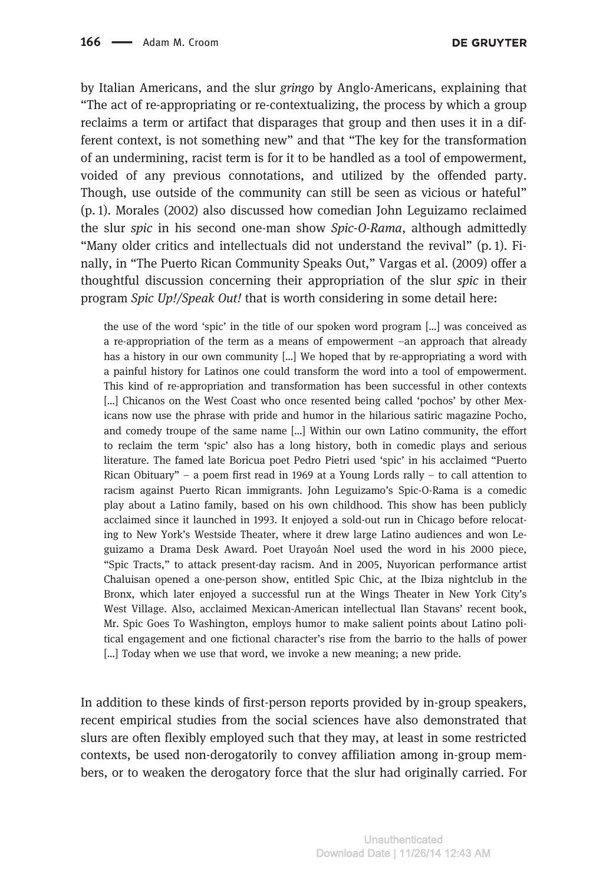by Italian Americans, and the slur gringo by Anglo-Americans, explaining that "The act of re-appropriating or re-contextualizing, the process by which a group reclaims a term or artifact that disparages that group and then uses it in a different context, is not something new" and that "The key for the transformation of an undermining, racist term is for it to be handled as a tool of empowerment, voided of any previous connotations, and utilized by the offended party. Though, use outside of the community can still be seen as vicious or hateful" (p. 1). Morales (2002) also discussed how comedian John Leguizamo reclaimed the slur spic in his second one-man show Spic-O-Rama, although admittedly "Many older critics and intellectuals did not understand the revival" (p. 1). Finally, in "The Puerto Rican Community Speaks Out," Vargas et al. (2009) offer a thoughtful discussion concerning their appropriation of the slur spic in their program Spic Up!/Speak Out! that is worth considering in some detail here:

the use of the word 'spic' in the title of our spoken word program […] was conceived as a re-appropriation of the term as a means of empowerment –an approach that already has a history in our own community [...] We hoped that by re-appropriating a word with a painful history for Latinos one could transform the word into a tool of empowerment. This kind of re-appropriation and transformation has been successful in other contexts […] Chicanos on the West Coast who once resented being called 'pochos' by other Mexicans now use the phrase with pride and humor in the hilarious satiric magazine Pocho, and comedy troupe of the same name […] Within our own Latino community, the effort to reclaim the term 'spic' also has a long history, both in comedic plays and serious literature. The famed late Boricua poet Pedro Pietri used 'spic' in his acclaimed "Puerto Rican Obituary" – a poem first read in 1969 at a Young Lords rally – to call attention to racism against Puerto Rican immigrants. John Leguizamo's Spic-O-Rama is a comedic play about a Latino family, based on his own childhood. This show has been publicly acclaimed since it launched in 1993. It enjoyed a sold-out run in Chicago before relocating to New York's Westside Theater, where it drew large Latino audiences and won Leguizamo a Drama Desk Award. Poet Urayoán Noel used the word in his 2000 piece, "Spic Tracts," to attack present-day racism. And in 2005, Nuyorican performance artist Chaluisan opened a one-person show, entitled Spic Chic, at the Ibiza nightclub in the Bronx, which later enjoyed a successful run at the Wings Theater in New York City's West Village. Also, acclaimed Mexican-American intellectual Ilan Stavans' recent book, Mr. Spic Goes To Washington, employs humor to make salient points about Latino political engagement and one fictional character's rise from the barrio to the halls of power [...] Today when we use that word, we invoke a new meaning; a new pride.

In addition to these kinds of first-person reports provided by in-group speakers, recent empirical studies from the social sciences have also demonstrated that slurs are often flexibly employed such that they may, at least in some restricted contexts, be used non-derogatorily to convey affiliation among in-group members, or to weaken the derogatory force that the slur had originally carried. For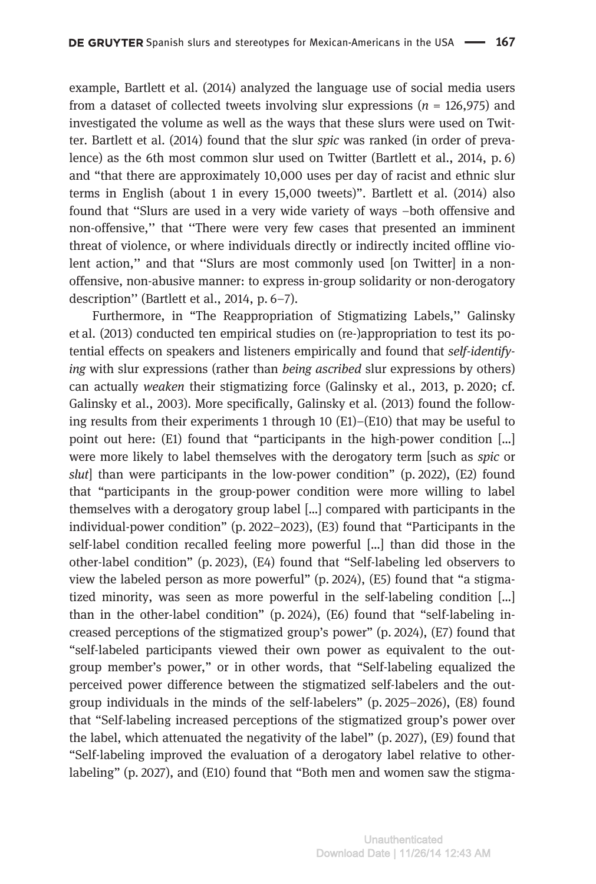example, Bartlett et al. (2014) analyzed the language use of social media users from a dataset of collected tweets involving slur expressions ( $n = 126,975$ ) and investigated the volume as well as the ways that these slurs were used on Twitter. Bartlett et al. (2014) found that the slur spic was ranked (in order of prevalence) as the 6th most common slur used on Twitter (Bartlett et al., 2014, p. 6) and "that there are approximately 10,000 uses per day of racist and ethnic slur terms in English (about 1 in every 15,000 tweets)". Bartlett et al. (2014) also found that ''Slurs are used in a very wide variety of ways –both offensive and non-offensive,'' that ''There were very few cases that presented an imminent threat of violence, or where individuals directly or indirectly incited offline violent action," and that "Slurs are most commonly used [on Twitter] in a nonoffensive, non-abusive manner: to express in-group solidarity or non-derogatory description'' (Bartlett et al., 2014, p. 6–7).

Furthermore, in "The Reappropriation of Stigmatizing Labels,'' Galinsky et al. (2013) conducted ten empirical studies on (re-)appropriation to test its potential effects on speakers and listeners empirically and found that self-identifying with slur expressions (rather than being ascribed slur expressions by others) can actually weaken their stigmatizing force (Galinsky et al., 2013, p. 2020; cf. Galinsky et al., 2003). More specifically, Galinsky et al. (2013) found the following results from their experiments 1 through 10 (E1)–(E10) that may be useful to point out here: (E1) found that "participants in the high-power condition […] were more likely to label themselves with the derogatory term [such as spic or slut] than were participants in the low-power condition" (p. 2022),  $(E2)$  found that "participants in the group-power condition were more willing to label themselves with a derogatory group label […] compared with participants in the individual-power condition" (p. 2022–2023), (E3) found that "Participants in the self-label condition recalled feeling more powerful […] than did those in the other-label condition" (p. 2023), (E4) found that "Self-labeling led observers to view the labeled person as more powerful" (p. 2024), (E5) found that "a stigmatized minority, was seen as more powerful in the self-labeling condition […] than in the other-label condition" (p. 2024), (E6) found that "self-labeling increased perceptions of the stigmatized group's power" (p. 2024), (E7) found that "self-labeled participants viewed their own power as equivalent to the outgroup member's power," or in other words, that "Self-labeling equalized the perceived power difference between the stigmatized self-labelers and the outgroup individuals in the minds of the self-labelers" (p. 2025–2026), (E8) found that "Self-labeling increased perceptions of the stigmatized group's power over the label, which attenuated the negativity of the label" (p. 2027), (E9) found that "Self-labeling improved the evaluation of a derogatory label relative to otherlabeling" (p. 2027), and (E10) found that "Both men and women saw the stigma-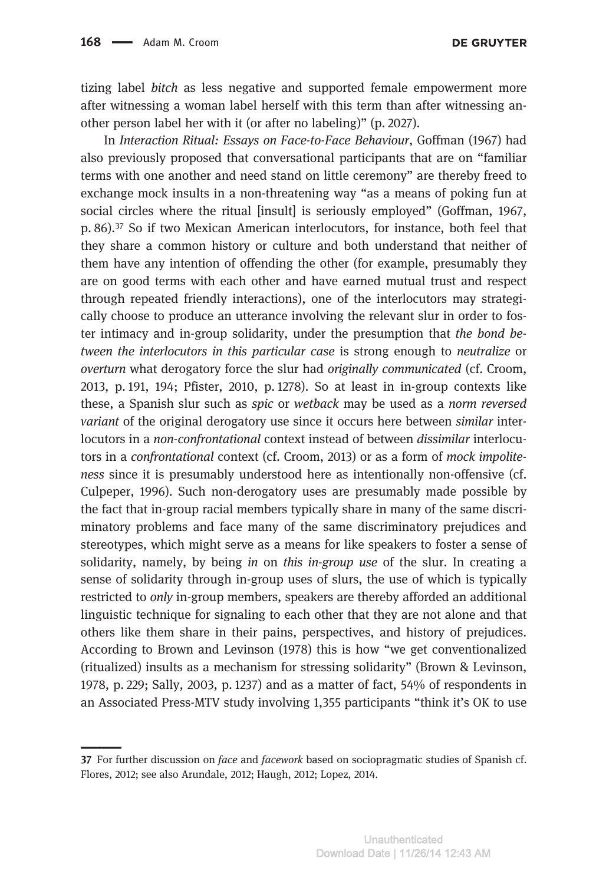tizing label bitch as less negative and supported female empowerment more after witnessing a woman label herself with this term than after witnessing another person label her with it (or after no labeling)" (p. 2027).

In Interaction Ritual: Essays on Face-to-Face Behaviour, Goffman (1967) had also previously proposed that conversational participants that are on "familiar terms with one another and need stand on little ceremony" are thereby freed to exchange mock insults in a non-threatening way "as a means of poking fun at social circles where the ritual [insult] is seriously employed" (Goffman, 1967, p. 86).37 So if two Mexican American interlocutors, for instance, both feel that they share a common history or culture and both understand that neither of them have any intention of offending the other (for example, presumably they are on good terms with each other and have earned mutual trust and respect through repeated friendly interactions), one of the interlocutors may strategically choose to produce an utterance involving the relevant slur in order to foster intimacy and in-group solidarity, under the presumption that the bond between the interlocutors in this particular case is strong enough to neutralize or overturn what derogatory force the slur had originally communicated (cf. Croom, 2013, p. 191, 194; Pfister, 2010, p. 1278). So at least in in-group contexts like these, a Spanish slur such as spic or wetback may be used as a norm reversed variant of the original derogatory use since it occurs here between similar interlocutors in a non-confrontational context instead of between dissimilar interlocutors in a confrontational context (cf. Croom, 2013) or as a form of mock impoliteness since it is presumably understood here as intentionally non-offensive (cf. Culpeper, 1996). Such non-derogatory uses are presumably made possible by the fact that in-group racial members typically share in many of the same discriminatory problems and face many of the same discriminatory prejudices and stereotypes, which might serve as a means for like speakers to foster a sense of solidarity, namely, by being in on this in-group use of the slur. In creating a sense of solidarity through in-group uses of slurs, the use of which is typically restricted to only in-group members, speakers are thereby afforded an additional linguistic technique for signaling to each other that they are not alone and that others like them share in their pains, perspectives, and history of prejudices. According to Brown and Levinson (1978) this is how "we get conventionalized (ritualized) insults as a mechanism for stressing solidarity" (Brown & Levinson, 1978, p. 229; Sally, 2003, p. 1237) and as a matter of fact, 54% of respondents in an Associated Press-MTV study involving 1,355 participants "think it's OK to use

<sup>37</sup> For further discussion on *face* and *facework* based on sociopragmatic studies of Spanish cf. Flores, 2012; see also Arundale, 2012; Haugh, 2012; Lopez, 2014.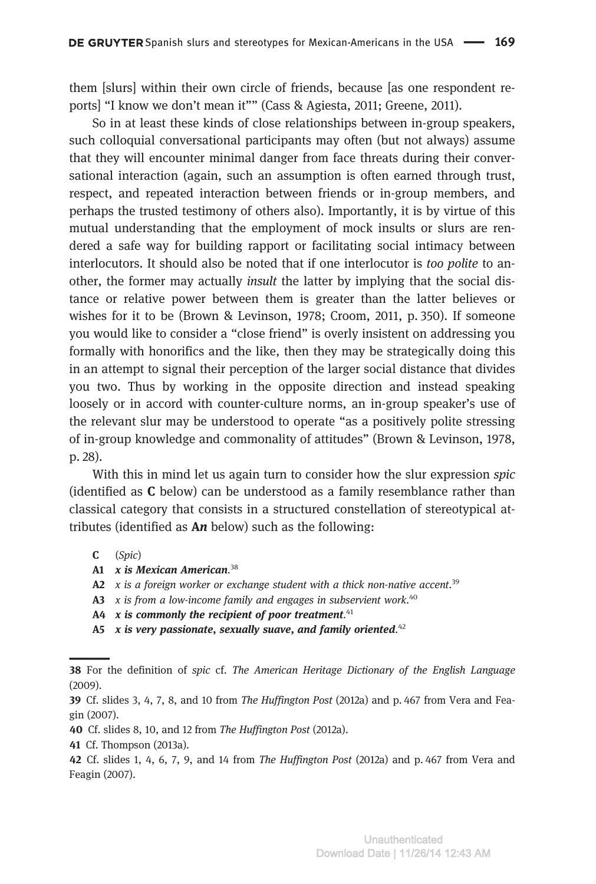them [slurs] within their own circle of friends, because [as one respondent reports] "I know we don't mean it"" (Cass & Agiesta, 2011; Greene, 2011).

So in at least these kinds of close relationships between in-group speakers, such colloquial conversational participants may often (but not always) assume that they will encounter minimal danger from face threats during their conversational interaction (again, such an assumption is often earned through trust, respect, and repeated interaction between friends or in-group members, and perhaps the trusted testimony of others also). Importantly, it is by virtue of this mutual understanding that the employment of mock insults or slurs are rendered a safe way for building rapport or facilitating social intimacy between interlocutors. It should also be noted that if one interlocutor is too polite to another, the former may actually insult the latter by implying that the social distance or relative power between them is greater than the latter believes or wishes for it to be (Brown & Levinson, 1978; Croom, 2011, p. 350). If someone you would like to consider a "close friend" is overly insistent on addressing you formally with honorifics and the like, then they may be strategically doing this in an attempt to signal their perception of the larger social distance that divides you two. Thus by working in the opposite direction and instead speaking loosely or in accord with counter-culture norms, an in-group speaker's use of the relevant slur may be understood to operate "as a positively polite stressing of in-group knowledge and commonality of attitudes" (Brown & Levinson, 1978, p. 28).

With this in mind let us again turn to consider how the slur expression *spic* (identified as C below) can be understood as a family resemblance rather than classical category that consists in a structured constellation of stereotypical attributes (identified as  $An$  below) such as the following:

C (Spic)

\_\_\_

- A1 x is Mexican American.<sup>38</sup>
- A2  $x$  is a foreign worker or exchange student with a thick non-native accent.<sup>39</sup>
- A3  $x$  is from a low-income family and engages in subservient work.<sup>40</sup>
- A4  $\,$  x is commonly the recipient of poor treatment.<sup>41</sup>
- A5  $\,$  x is very passionate, sexually suave, and family oriented.<sup>42</sup>

- 40 Cf. slides 8, 10, and 12 from The Huffington Post (2012a).
- 41 Cf. Thompson (2013a).

<sup>38</sup> For the definition of spic cf. The American Heritage Dictionary of the English Language (2009).

<sup>39</sup> Cf. slides 3, 4, 7, 8, and 10 from The Huffington Post (2012a) and p. 467 from Vera and Feagin (2007).

<sup>42</sup> Cf. slides 1, 4, 6, 7, 9, and 14 from The Huffington Post (2012a) and p. 467 from Vera and Feagin (2007).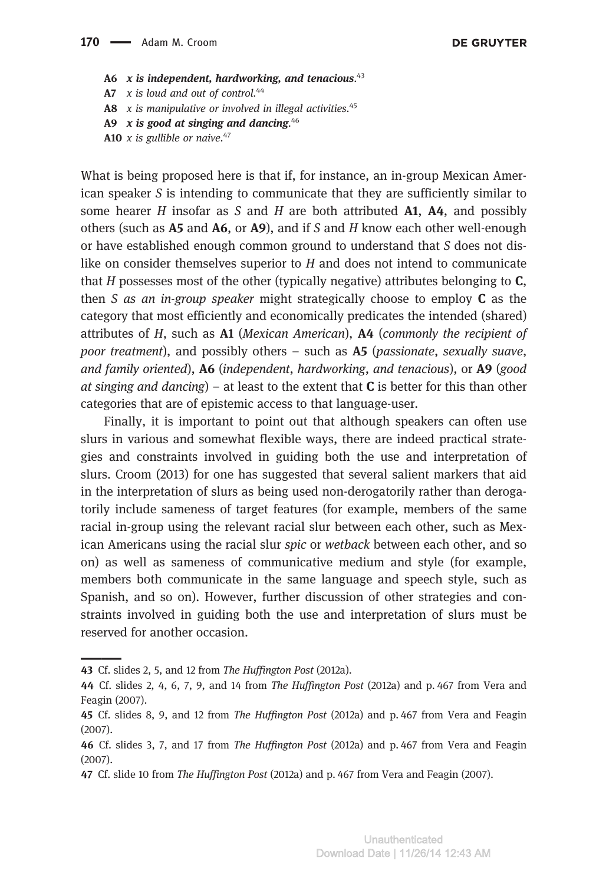A6  $\boldsymbol{x}$  is independent, hardworking, and tenacious.  $43$ A7  $x$  is loud and out of control.<sup>44</sup> A8  $\times$  is manipulative or involved in illegal activities.<sup>45</sup> A9  $\,x$  is good at singing and dancing.<sup>46</sup> A10  $x$  is gullible or naive.<sup>47</sup>

What is being proposed here is that if, for instance, an in-group Mexican American speaker S is intending to communicate that they are sufficiently similar to some hearer  $H$  insofar as  $S$  and  $H$  are both attributed  $A1$ ,  $A4$ , and possibly others (such as  $\overline{AB}$  and  $\overline{AB}$ , or  $\overline{AB}$ ), and if S and H know each other well-enough or have established enough common ground to understand that S does not dislike on consider themselves superior to H and does not intend to communicate that H possesses most of the other (typically negative) attributes belonging to  $C$ , then S as an in-group speaker might strategically choose to employ  $C$  as the category that most efficiently and economically predicates the intended (shared) attributes of H, such as A1 (Mexican American), A4 (commonly the recipient of poor treatment), and possibly others – such as A5 (passionate, sexually suave, and family oriented), A6 (independent, hardworking, and tenacious), or A9 (good at singing and dancing) – at least to the extent that  $C$  is better for this than other categories that are of epistemic access to that language-user.

Finally, it is important to point out that although speakers can often use slurs in various and somewhat flexible ways, there are indeed practical strategies and constraints involved in guiding both the use and interpretation of slurs. Croom (2013) for one has suggested that several salient markers that aid in the interpretation of slurs as being used non-derogatorily rather than derogatorily include sameness of target features (for example, members of the same racial in-group using the relevant racial slur between each other, such as Mexican Americans using the racial slur spic or wetback between each other, and so on) as well as sameness of communicative medium and style (for example, members both communicate in the same language and speech style, such as Spanish, and so on). However, further discussion of other strategies and constraints involved in guiding both the use and interpretation of slurs must be reserved for another occasion.

\_\_\_

<sup>43</sup> Cf. slides 2, 5, and 12 from The Huffington Post (2012a).

<sup>44</sup> Cf. slides 2, 4, 6, 7, 9, and 14 from The Huffington Post (2012a) and p. 467 from Vera and Feagin (2007).

<sup>45</sup> Cf. slides 8, 9, and 12 from The Huffington Post (2012a) and p. 467 from Vera and Feagin (2007).

<sup>46</sup> Cf. slides 3, 7, and 17 from The Huffington Post (2012a) and p. 467 from Vera and Feagin (2007).

<sup>47</sup> Cf. slide 10 from The Huffington Post (2012a) and p. 467 from Vera and Feagin (2007).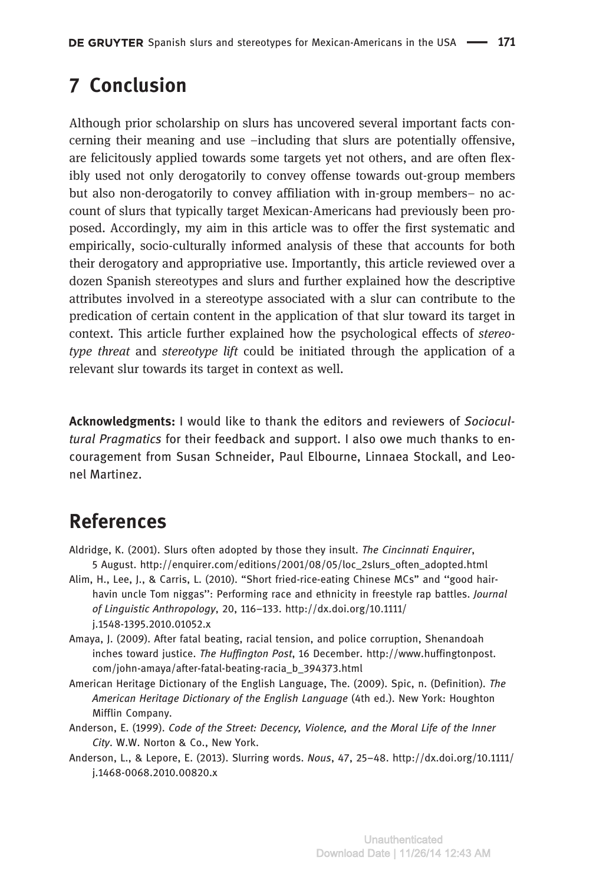#### 7 Conclusion

Although prior scholarship on slurs has uncovered several important facts concerning their meaning and use –including that slurs are potentially offensive, are felicitously applied towards some targets yet not others, and are often flexibly used not only derogatorily to convey offense towards out-group members but also non-derogatorily to convey affiliation with in-group members– no account of slurs that typically target Mexican-Americans had previously been proposed. Accordingly, my aim in this article was to offer the first systematic and empirically, socio-culturally informed analysis of these that accounts for both their derogatory and appropriative use. Importantly, this article reviewed over a dozen Spanish stereotypes and slurs and further explained how the descriptive attributes involved in a stereotype associated with a slur can contribute to the predication of certain content in the application of that slur toward its target in context. This article further explained how the psychological effects of stereotype threat and stereotype lift could be initiated through the application of a relevant slur towards its target in context as well.

Acknowledgments: I would like to thank the editors and reviewers of Sociocultural Pragmatics for their feedback and support. I also owe much thanks to encouragement from Susan Schneider, Paul Elbourne, Linnaea Stockall, and Leonel Martinez.

#### References

- Aldridge, K. (2001). Slurs often adopted by those they insult. The Cincinnati Enquirer, 5 August. http://enquirer.com/editions/2001/08/05/loc\_2slurs\_often\_adopted.html
- Alim, H., Lee, J., & Carris, L. (2010). "Short fried-rice-eating Chinese MCs" and ''good hairhavin uncle Tom niggas": Performing race and ethnicity in freestyle rap battles. Journal of Linguistic Anthropology, 20, 116–133. http://dx.doi.org/10.1111/ j.1548-1395.2010.01052.x
- Amaya, J. (2009). After fatal beating, racial tension, and police corruption, Shenandoah inches toward justice. The Huffington Post, 16 December. http://www.huffingtonpost. com/john-amaya/after-fatal-beating-racia\_b\_394373.html
- American Heritage Dictionary of the English Language, The. (2009). Spic, n. (Definition). The American Heritage Dictionary of the English Language (4th ed.). New York: Houghton Mifflin Company.
- Anderson, E. (1999). Code of the Street: Decency, Violence, and the Moral Life of the Inner City. W.W. Norton & Co., New York.
- Anderson, L., & Lepore, E. (2013). Slurring words. Nous, 47, 25–48. http://dx.doi.org/10.1111/ j.1468-0068.2010.00820.x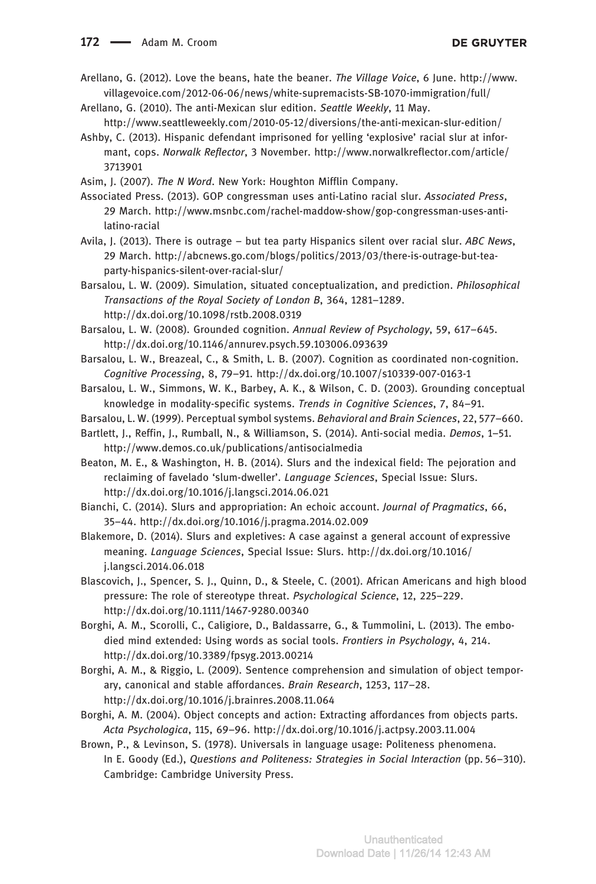- Arellano, G. (2012). Love the beans, hate the beaner. The Village Voice, 6 June. http://www. villagevoice.com/2012-06-06/news/white-supremacists-SB-1070-immigration/full/
- Arellano, G. (2010). The anti-Mexican slur edition. Seattle Weekly, 11 May. http://www.seattleweekly.com/2010-05-12/diversions/the-anti-mexican-slur-edition/
- Ashby, C. (2013). Hispanic defendant imprisoned for yelling 'explosive' racial slur at informant, cops. Norwalk Reflector, 3 November. http://www.norwalkreflector.com/article/ 3713901
- Asim, I. (2007). The N Word. New York: Houghton Mifflin Company.

Associated Press. (2013). GOP congressman uses anti-Latino racial slur. Associated Press, 29 March. http://www.msnbc.com/rachel-maddow-show/gop-congressman-uses-antilatino-racial

Avila, J. (2013). There is outrage – but tea party Hispanics silent over racial slur. ABC News, 29 March. http://abcnews.go.com/blogs/politics/2013/03/there-is-outrage-but-teaparty-hispanics-silent-over-racial-slur/

Barsalou, L. W. (2009). Simulation, situated conceptualization, and prediction. Philosophical Transactions of the Royal Society of London B, 364, 1281–1289. http://dx.doi.org/10.1098/rstb.2008.0319

Barsalou, L. W. (2008). Grounded cognition. Annual Review of Psychology, 59, 617–645. http://dx.doi.org/10.1146/annurev.psych.59.103006.093639

- Barsalou, L. W., Breazeal, C., & Smith, L. B. (2007). Cognition as coordinated non-cognition. Cognitive Processing, 8, 79–91. http://dx.doi.org/10.1007/s10339-007-0163-1
- Barsalou, L. W., Simmons, W. K., Barbey, A. K., & Wilson, C. D. (2003). Grounding conceptual knowledge in modality-specific systems. Trends in Cognitive Sciences, 7, 84–91.
- Barsalou, L. W. (1999). Perceptual symbol systems. Behavioral and Brain Sciences, 22, 577–660.
- Bartlett, J., Reffin, J., Rumball, N., & Williamson, S. (2014). Anti-social media. Demos, 1–51. http://www.demos.co.uk/publications/antisocialmedia
- Beaton, M. E., & Washington, H. B. (2014). Slurs and the indexical field: The pejoration and reclaiming of favelado 'slum-dweller'. Language Sciences, Special Issue: Slurs. http://dx.doi.org/10.1016/j.langsci.2014.06.021
- Bianchi, C. (2014). Slurs and appropriation: An echoic account. Journal of Pragmatics, 66, 35–44. http://dx.doi.org/10.1016/j.pragma.2014.02.009

Blakemore, D. (2014). Slurs and expletives: A case against a general account of expressive meaning. Language Sciences, Special Issue: Slurs. http://dx.doi.org/10.1016/ j.langsci.2014.06.018

Blascovich, J., Spencer, S. J., Quinn, D., & Steele, C. (2001). African Americans and high blood pressure: The role of stereotype threat. Psychological Science, 12, 225–229. http://dx.doi.org/10.1111/1467-9280.00340

Borghi, A. M., Scorolli, C., Caligiore, D., Baldassarre, G., & Tummolini, L. (2013). The embodied mind extended: Using words as social tools. Frontiers in Psychology, 4, 214. http://dx.doi.org/10.3389/fpsyg.2013.00214

- Borghi, A. M., & Riggio, L. (2009). Sentence comprehension and simulation of object temporary, canonical and stable affordances. Brain Research, 1253, 117–28. http://dx.doi.org/10.1016/j.brainres.2008.11.064
- Borghi, A. M. (2004). Object concepts and action: Extracting affordances from objects parts. Acta Psychologica, 115, 69–96. http://dx.doi.org/10.1016/j.actpsy.2003.11.004
- Brown, P., & Levinson, S. (1978). Universals in language usage: Politeness phenomena. In E. Goody (Ed.), Questions and Politeness: Strategies in Social Interaction (pp. 56–310). Cambridge: Cambridge University Press.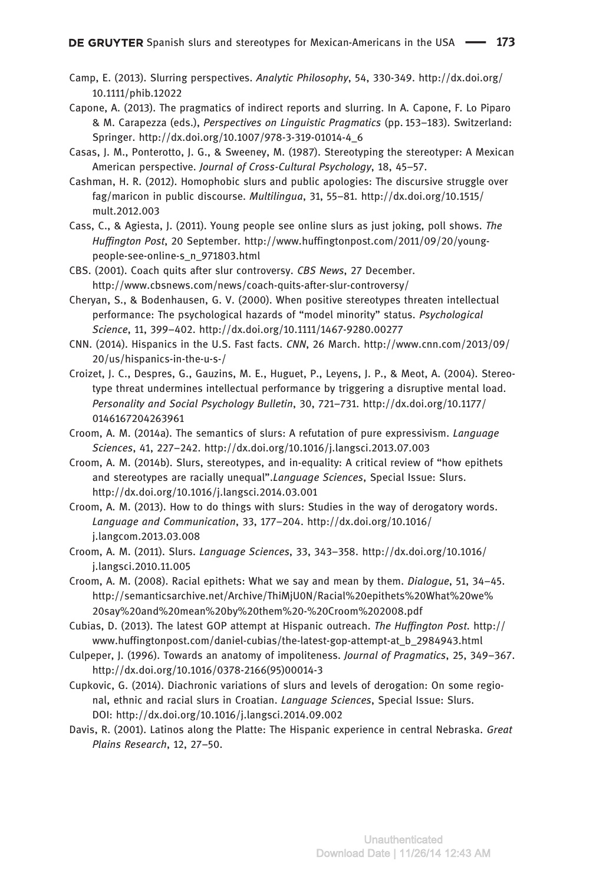- Camp, E. (2013). Slurring perspectives. Analytic Philosophy, 54, 330-349. http://dx.doi.org/ 10.1111/phib.12022
- Capone, A. (2013). The pragmatics of indirect reports and slurring. In A. Capone, F. Lo Piparo & M. Carapezza (eds.), Perspectives on Linguistic Pragmatics (pp. 153–183). Switzerland: Springer. http://dx.doi.org/10.1007/978-3-319-01014-4\_6
- Casas, J. M., Ponterotto, J. G., & Sweeney, M. (1987). Stereotyping the stereotyper: A Mexican American perspective. Journal of Cross-Cultural Psychology, 18, 45–57.
- Cashman, H. R. (2012). Homophobic slurs and public apologies: The discursive struggle over fag/maricon in public discourse. Multilingua, 31, 55–81. http://dx.doi.org/10.1515/ mult.2012.003
- Cass, C., & Agiesta, J. (2011). Young people see online slurs as just joking, poll shows. The Huffington Post, 20 September. http://www.huffingtonpost.com/2011/09/20/youngpeople-see-online-s\_n\_971803.html
- CBS. (2001). Coach quits after slur controversy. CBS News, 27 December. http://www.cbsnews.com/news/coach-quits-after-slur-controversy/
- Cheryan, S., & Bodenhausen, G. V. (2000). When positive stereotypes threaten intellectual performance: The psychological hazards of "model minority" status. Psychological Science, 11, 399–402. http://dx.doi.org/10.1111/1467-9280.00277
- CNN. (2014). Hispanics in the U.S. Fast facts. CNN, 26 March. http://www.cnn.com/2013/09/ 20/us/hispanics-in-the-u-s-/
- Croizet, J. C., Despres, G., Gauzins, M. E., Huguet, P., Leyens, J. P., & Meot, A. (2004). Stereotype threat undermines intellectual performance by triggering a disruptive mental load. Personality and Social Psychology Bulletin, 30, 721–731. http://dx.doi.org/10.1177/ 0146167204263961
- Croom, A. M. (2014a). The semantics of slurs: A refutation of pure expressivism. Language Sciences, 41, 227–242. http://dx.doi.org/10.1016/j.langsci.2013.07.003
- Croom, A. M. (2014b). Slurs, stereotypes, and in-equality: A critical review of "how epithets and stereotypes are racially unequal". Language Sciences, Special Issue: Slurs. http://dx.doi.org/10.1016/j.langsci.2014.03.001
- Croom, A. M. (2013). How to do things with slurs: Studies in the way of derogatory words. Language and Communication, 33, 177–204. http://dx.doi.org/10.1016/ j.langcom.2013.03.008
- Croom, A. M. (2011). Slurs. Language Sciences, 33, 343–358. http://dx.doi.org/10.1016/ j.langsci.2010.11.005
- Croom, A. M. (2008). Racial epithets: What we say and mean by them. Dialogue, 51, 34–45. http://semanticsarchive.net/Archive/ThiMjU0N/Racial%20epithets%20What%20we% 20say%20and%20mean%20by%20them%20-%20Croom%202008.pdf
- Cubias, D. (2013). The latest GOP attempt at Hispanic outreach. The Huffington Post. http:// www.huffingtonpost.com/daniel-cubias/the-latest-gop-attempt-at\_b\_2984943.html
- Culpeper, J. (1996). Towards an anatomy of impoliteness. Journal of Pragmatics, 25, 349–367. http://dx.doi.org/10.1016/0378-2166(95)00014-3
- Cupkovic, G. (2014). Diachronic variations of slurs and levels of derogation: On some regional, ethnic and racial slurs in Croatian. Language Sciences, Special Issue: Slurs. DOI: http://dx.doi.org/10.1016/j.langsci.2014.09.002
- Davis, R. (2001). Latinos along the Platte: The Hispanic experience in central Nebraska. Great Plains Research, 12, 27–50.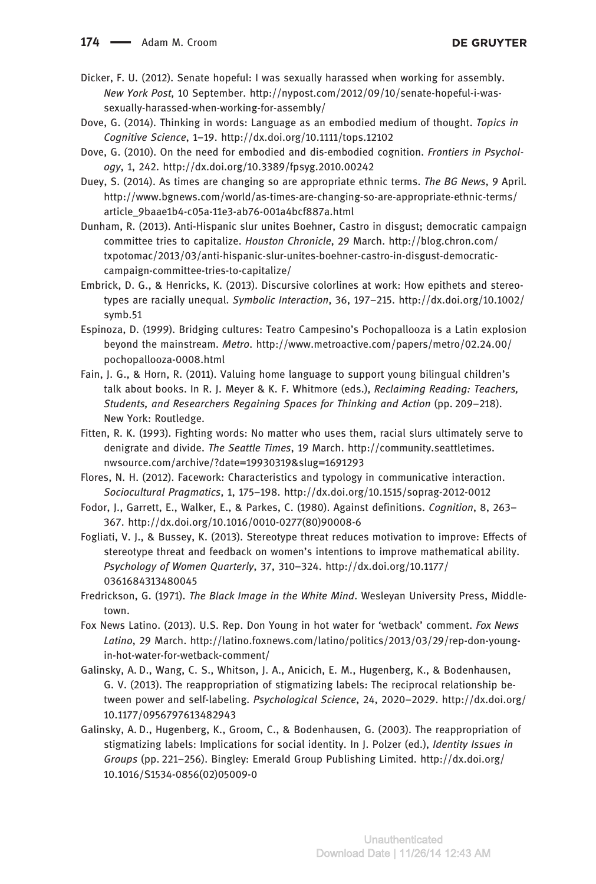- Dicker, F. U. (2012). Senate hopeful: I was sexually harassed when working for assembly. New York Post, 10 September. http://nypost.com/2012/09/10/senate-hopeful-i-wassexually-harassed-when-working-for-assembly/
- Dove, G. (2014). Thinking in words: Language as an embodied medium of thought. Topics in Cognitive Science, 1–19. http://dx.doi.org/10.1111/tops.12102
- Dove, G. (2010). On the need for embodied and dis-embodied cognition. Frontiers in Psychology, 1, 242. http://dx.doi.org/10.3389/fpsyg.2010.00242
- Duey, S. (2014). As times are changing so are appropriate ethnic terms. The BG News, 9 April. http://www.bgnews.com/world/as-times-are-changing-so-are-appropriate-ethnic-terms/ article\_9baae1b4-c05a-11e3-ab76-001a4bcf887a.html
- Dunham, R. (2013). Anti-Hispanic slur unites Boehner, Castro in disgust; democratic campaign committee tries to capitalize. Houston Chronicle, 29 March. http://blog.chron.com/ txpotomac/2013/03/anti-hispanic-slur-unites-boehner-castro-in-disgust-democraticcampaign-committee-tries-to-capitalize/
- Embrick, D. G., & Henricks, K. (2013). Discursive colorlines at work: How epithets and stereotypes are racially unequal. Symbolic Interaction, 36, 197–215. http://dx.doi.org/10.1002/ symb.51
- Espinoza, D. (1999). Bridging cultures: Teatro Campesino's Pochopallooza is a Latin explosion beyond the mainstream. Metro. http://www.metroactive.com/papers/metro/02.24.00/ pochopallooza-0008.html
- Fain, J. G., & Horn, R. (2011). Valuing home language to support young bilingual children's talk about books. In R. J. Meyer & K. F. Whitmore (eds.), Reclaiming Reading: Teachers, Students, and Researchers Regaining Spaces for Thinking and Action (pp. 209–218). New York: Routledge.
- Fitten, R. K. (1993). Fighting words: No matter who uses them, racial slurs ultimately serve to denigrate and divide. The Seattle Times, 19 March. http://community.seattletimes. nwsource.com/archive/?date=19930319&slug=1691293
- Flores, N. H. (2012). Facework: Characteristics and typology in communicative interaction. Sociocultural Pragmatics, 1, 175–198. http://dx.doi.org/10.1515/soprag-2012-0012
- Fodor, J., Garrett, E., Walker, E., & Parkes, C. (1980). Against definitions. Cognition, 8, 263– 367. http://dx.doi.org/10.1016/0010-0277(80)90008-6
- Fogliati, V. J., & Bussey, K. (2013). Stereotype threat reduces motivation to improve: Effects of stereotype threat and feedback on women's intentions to improve mathematical ability. Psychology of Women Quarterly, 37, 310–324. http://dx.doi.org/10.1177/ 0361684313480045
- Fredrickson, G. (1971). The Black Image in the White Mind. Wesleyan University Press, Middletown.
- Fox News Latino. (2013). U.S. Rep. Don Young in hot water for 'wetback' comment. Fox News Latino, 29 March. http://latino.foxnews.com/latino/politics/2013/03/29/rep-don-youngin-hot-water-for-wetback-comment/
- Galinsky, A. D., Wang, C. S., Whitson, J. A., Anicich, E. M., Hugenberg, K., & Bodenhausen, G. V. (2013). The reappropriation of stigmatizing labels: The reciprocal relationship between power and self-labeling. Psychological Science, 24, 2020–2029. http://dx.doi.org/ 10.1177/0956797613482943
- Galinsky, A. D., Hugenberg, K., Groom, C., & Bodenhausen, G. (2003). The reappropriation of stigmatizing labels: Implications for social identity. In J. Polzer (ed.), Identity Issues in Groups (pp. 221–256). Bingley: Emerald Group Publishing Limited. http://dx.doi.org/ 10.1016/S1534-0856(02)05009-0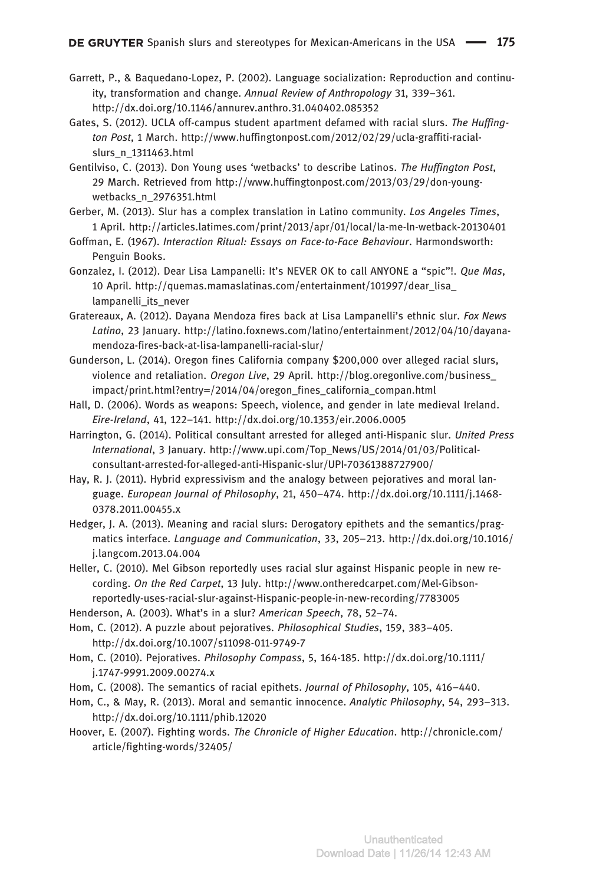- Garrett, P., & Baquedano-Lopez, P. (2002). Language socialization: Reproduction and continuity, transformation and change. Annual Review of Anthropology 31, 339–361. http://dx.doi.org/10.1146/annurev.anthro.31.040402.085352
- Gates, S. (2012). UCLA off-campus student apartment defamed with racial slurs. The Huffington Post, 1 March. http://www.huffingtonpost.com/2012/02/29/ucla-graffiti-racialslurs\_n\_1311463.html
- Gentilviso, C. (2013). Don Young uses 'wetbacks' to describe Latinos. The Huffington Post, 29 March. Retrieved from http://www.huffingtonpost.com/2013/03/29/don-youngwetbacks\_n\_2976351.html
- Gerber, M. (2013). Slur has a complex translation in Latino community. Los Angeles Times, 1 April. http://articles.latimes.com/print/2013/apr/01/local/la-me-ln-wetback-20130401
- Goffman, E. (1967). Interaction Ritual: Essays on Face-to-Face Behaviour. Harmondsworth: Penguin Books.
- Gonzalez, I. (2012). Dear Lisa Lampanelli: It's NEVER OK to call ANYONE a "spic"!. Que Mas, 10 April. http://quemas.mamaslatinas.com/entertainment/101997/dear\_lisa\_ lampanelli its never
- Gratereaux, A. (2012). Dayana Mendoza fires back at Lisa Lampanelli's ethnic slur. Fox News Latino, 23 January. http://latino.foxnews.com/latino/entertainment/2012/04/10/dayanamendoza-fires-back-at-lisa-lampanelli-racial-slur/
- Gunderson, L. (2014). Oregon fines California company \$200,000 over alleged racial slurs, violence and retaliation. Oregon Live, 29 April. http://blog.oregonlive.com/business\_ impact/print.html?entry=/2014/04/oregon\_fines\_california\_compan.html
- Hall, D. (2006). Words as weapons: Speech, violence, and gender in late medieval Ireland. Eire-Ireland, 41, 122–141. http://dx.doi.org/10.1353/eir.2006.0005
- Harrington, G. (2014). Political consultant arrested for alleged anti-Hispanic slur. United Press International, 3 January. http://www.upi.com/Top\_News/US/2014/01/03/Politicalconsultant-arrested-for-alleged-anti-Hispanic-slur/UPI-70361388727900/
- Hay, R. J. (2011). Hybrid expressivism and the analogy between pejoratives and moral language. European Journal of Philosophy, 21, 450–474. http://dx.doi.org/10.1111/j.1468- 0378.2011.00455.x
- Hedger, J. A. (2013). Meaning and racial slurs: Derogatory epithets and the semantics/pragmatics interface. Language and Communication, 33, 205–213. http://dx.doi.org/10.1016/ j.langcom.2013.04.004
- Heller, C. (2010). Mel Gibson reportedly uses racial slur against Hispanic people in new recording. On the Red Carpet, 13 July. http://www.ontheredcarpet.com/Mel-Gibsonreportedly-uses-racial-slur-against-Hispanic-people-in-new-recording/7783005
- Henderson, A. (2003). What's in a slur? American Speech, 78, 52–74.
- Hom, C. (2012). A puzzle about pejoratives. Philosophical Studies, 159, 383–405. http://dx.doi.org/10.1007/s11098-011-9749-7
- Hom, C. (2010). Pejoratives. Philosophy Compass, 5, 164-185. http://dx.doi.org/10.1111/ j.1747-9991.2009.00274.x
- Hom, C. (2008). The semantics of racial epithets. Journal of Philosophy, 105, 416–440.
- Hom, C., & May, R. (2013). Moral and semantic innocence. Analytic Philosophy, 54, 293–313. http://dx.doi.org/10.1111/phib.12020
- Hoover, E. (2007). Fighting words. The Chronicle of Higher Education. http://chronicle.com/ article/fighting-words/32405/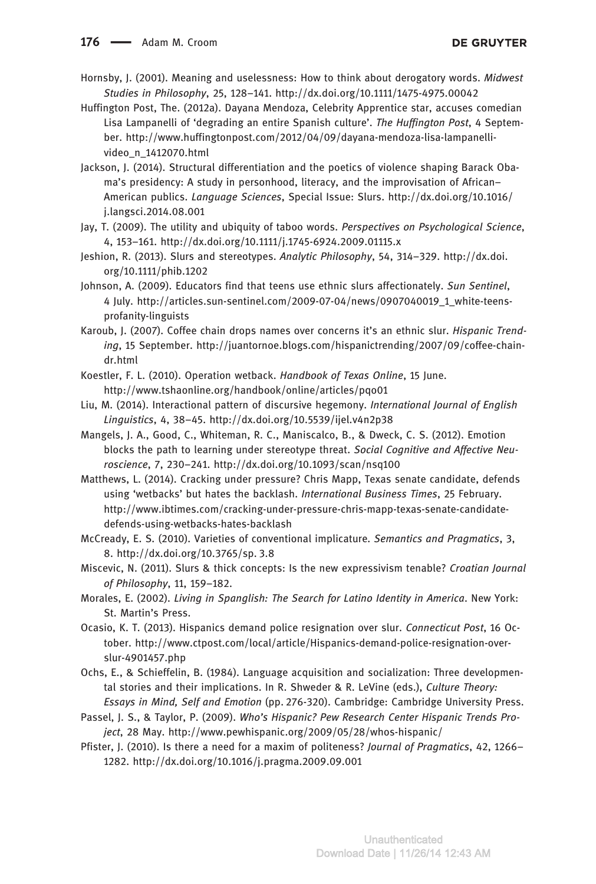- Hornsby, J. (2001). Meaning and uselessness: How to think about derogatory words. Midwest Studies in Philosophy, 25, 128–141. http://dx.doi.org/10.1111/1475-4975.00042
- Huffington Post, The. (2012a). Dayana Mendoza, Celebrity Apprentice star, accuses comedian Lisa Lampanelli of 'degrading an entire Spanish culture'. The Huffington Post, 4 September. http://www.huffingtonpost.com/2012/04/09/dayana-mendoza-lisa-lampanellivideo\_n\_1412070.html
- Jackson, J. (2014). Structural differentiation and the poetics of violence shaping Barack Obama's presidency: A study in personhood, literacy, and the improvisation of African– American publics. Language Sciences, Special Issue: Slurs. http://dx.doi.org/10.1016/ j.langsci.2014.08.001
- Jay, T. (2009). The utility and ubiquity of taboo words. Perspectives on Psychological Science, 4, 153–161. http://dx.doi.org/10.1111/j.1745-6924.2009.01115.x
- Jeshion, R. (2013). Slurs and stereotypes. Analytic Philosophy, 54, 314–329. http://dx.doi. org/10.1111/phib.1202
- Johnson, A. (2009). Educators find that teens use ethnic slurs affectionately. Sun Sentinel, 4 July. http://articles.sun-sentinel.com/2009-07-04/news/0907040019\_1\_white-teensprofanity-linguists
- Karoub, J. (2007). Coffee chain drops names over concerns it's an ethnic slur. Hispanic Trending, 15 September. http://juantornoe.blogs.com/hispanictrending/2007/09/coffee-chaindr.html
- Koestler, F. L. (2010). Operation wetback. Handbook of Texas Online, 15 June. http://www.tshaonline.org/handbook/online/articles/pqo01
- Liu, M. (2014). Interactional pattern of discursive hegemony. International Journal of English Linguistics, 4, 38–45. http://dx.doi.org/10.5539/ijel.v4n2p38
- Mangels, J. A., Good, C., Whiteman, R. C., Maniscalco, B., & Dweck, C. S. (2012). Emotion blocks the path to learning under stereotype threat. Social Cognitive and Affective Neuroscience, 7, 230–241. http://dx.doi.org/10.1093/scan/nsq100
- Matthews, L. (2014). Cracking under pressure? Chris Mapp, Texas senate candidate, defends using 'wetbacks' but hates the backlash. International Business Times, 25 February. http://www.ibtimes.com/cracking-under-pressure-chris-mapp-texas-senate-candidatedefends-using-wetbacks-hates-backlash
- McCready, E. S. (2010). Varieties of conventional implicature. Semantics and Pragmatics, 3, 8. http://dx.doi.org/10.3765/sp. 3.8
- Miscevic, N. (2011). Slurs & thick concepts: Is the new expressivism tenable? Croatian Journal of Philosophy, 11, 159–182.
- Morales, E. (2002). Living in Spanglish: The Search for Latino Identity in America. New York: St. Martin's Press.
- Ocasio, K. T. (2013). Hispanics demand police resignation over slur. Connecticut Post, 16 October. http://www.ctpost.com/local/article/Hispanics-demand-police-resignation-overslur-4901457.php
- Ochs, E., & Schieffelin, B. (1984). Language acquisition and socialization: Three developmental stories and their implications. In R. Shweder & R. LeVine (eds.), Culture Theory: Essays in Mind, Self and Emotion (pp. 276-320). Cambridge: Cambridge University Press.
- Passel, J. S., & Taylor, P. (2009). Who's Hispanic? Pew Research Center Hispanic Trends Project, 28 May. http://www.pewhispanic.org/2009/05/28/whos-hispanic/
- Pfister, J. (2010). Is there a need for a maxim of politeness? Journal of Pragmatics, 42, 1266-1282. http://dx.doi.org/10.1016/j.pragma.2009.09.001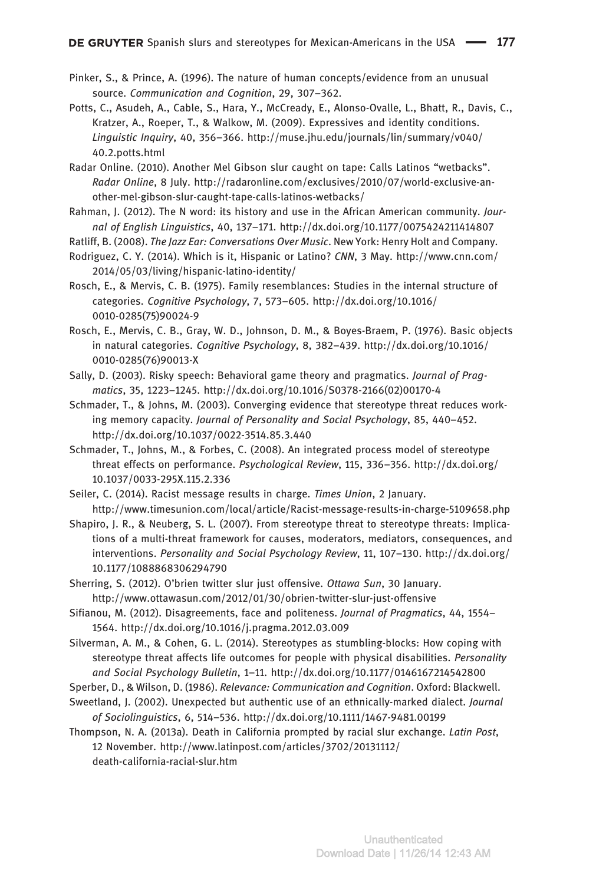Pinker, S., & Prince, A. (1996). The nature of human concepts/evidence from an unusual source. Communication and Cognition, 29, 307–362.

Potts, C., Asudeh, A., Cable, S., Hara, Y., McCready, E., Alonso-Ovalle, L., Bhatt, R., Davis, C., Kratzer, A., Roeper, T., & Walkow, M. (2009). Expressives and identity conditions. Linguistic Inquiry, 40, 356–366. http://muse.jhu.edu/journals/lin/summary/v040/ 40.2.potts.html

Radar Online. (2010). Another Mel Gibson slur caught on tape: Calls Latinos "wetbacks". Radar Online, 8 July. http://radaronline.com/exclusives/2010/07/world-exclusive-another-mel-gibson-slur-caught-tape-calls-latinos-wetbacks/

Rahman, J. (2012). The N word: its history and use in the African American community. Journal of English Linguistics, 40, 137–171. http://dx.doi.org/10.1177/0075424211414807

Ratliff, B. (2008). The Jazz Ear: Conversations Over Music. New York: Henry Holt and Company.

Rodriguez, C. Y. (2014). Which is it, Hispanic or Latino? CNN, 3 May. http://www.cnn.com/ 2014/05/03/living/hispanic-latino-identity/

Rosch, E., & Mervis, C. B. (1975). Family resemblances: Studies in the internal structure of categories. Cognitive Psychology, 7, 573–605. http://dx.doi.org/10.1016/ 0010-0285(75)90024-9

Rosch, E., Mervis, C. B., Gray, W. D., Johnson, D. M., & Boyes-Braem, P. (1976). Basic objects in natural categories. Cognitive Psychology, 8, 382–439. http://dx.doi.org/10.1016/ 0010-0285(76)90013-X

Sally, D. (2003). Risky speech: Behavioral game theory and pragmatics. Journal of Pragmatics, 35, 1223–1245. http://dx.doi.org/10.1016/S0378-2166(02)00170-4

Schmader, T., & Johns, M. (2003). Converging evidence that stereotype threat reduces working memory capacity. Journal of Personality and Social Psychology, 85, 440–452. http://dx.doi.org/10.1037/0022-3514.85.3.440

Schmader, T., Johns, M., & Forbes, C. (2008). An integrated process model of stereotype threat effects on performance. Psychological Review, 115, 336–356. http://dx.doi.org/ 10.1037/0033-295X.115.2.336

Seiler, C. (2014). Racist message results in charge. Times Union, 2 January.

http://www.timesunion.com/local/article/Racist-message-results-in-charge-5109658.php Shapiro, J. R., & Neuberg, S. L. (2007). From stereotype threat to stereotype threats: Implications of a multi-threat framework for causes, moderators, mediators, consequences, and interventions. Personality and Social Psychology Review, 11, 107–130. http://dx.doi.org/ 10.1177/1088868306294790

Sherring, S. (2012). O'brien twitter slur just offensive. Ottawa Sun, 30 January. http://www.ottawasun.com/2012/01/30/obrien-twitter-slur-just-offensive

Sifianou, M. (2012). Disagreements, face and politeness. Journal of Pragmatics, 44, 1554– 1564. http://dx.doi.org/10.1016/j.pragma.2012.03.009

Silverman, A. M., & Cohen, G. L. (2014). Stereotypes as stumbling-blocks: How coping with stereotype threat affects life outcomes for people with physical disabilities. Personality and Social Psychology Bulletin, 1–11. http://dx.doi.org/10.1177/0146167214542800

Sperber, D., & Wilson, D. (1986). Relevance: Communication and Cognition. Oxford: Blackwell.

Sweetland, J. (2002). Unexpected but authentic use of an ethnically-marked dialect. Journal of Sociolinguistics, 6, 514–536. http://dx.doi.org/10.1111/1467-9481.00199

Thompson, N. A. (2013a). Death in California prompted by racial slur exchange. Latin Post, 12 November. http://www.latinpost.com/articles/3702/20131112/ death-california-racial-slur.htm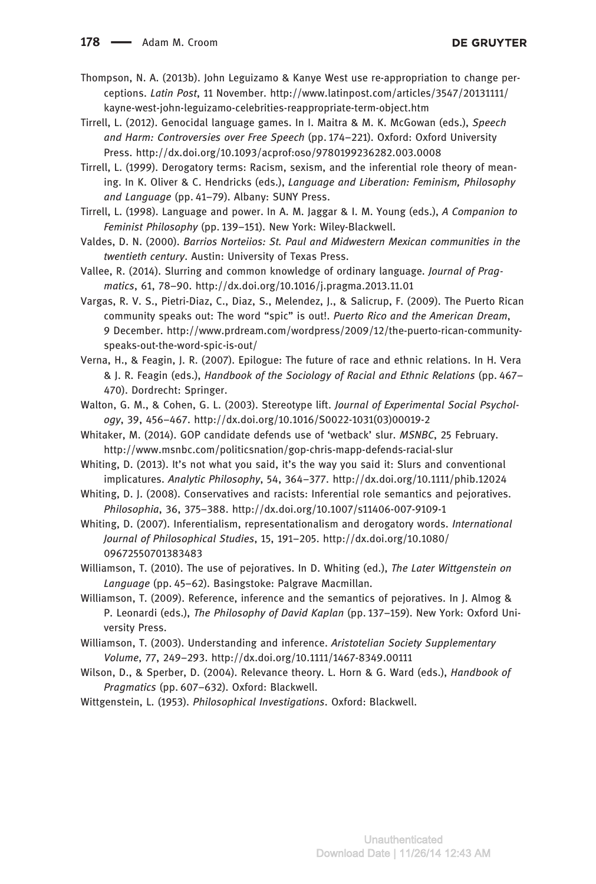178 - Adam M. Croom

- Thompson, N. A. (2013b). John Leguizamo & Kanye West use re-appropriation to change perceptions. Latin Post, 11 November. http://www.latinpost.com/articles/3547/20131111/ kayne-west-john-leguizamo-celebrities-reappropriate-term-object.htm
- Tirrell, L. (2012). Genocidal language games. In I. Maitra & M. K. McGowan (eds.), Speech and Harm: Controversies over Free Speech (pp. 174–221). Oxford: Oxford University Press. http://dx.doi.org/10.1093/acprof:oso/9780199236282.003.0008
- Tirrell, L. (1999). Derogatory terms: Racism, sexism, and the inferential role theory of meaning. In K. Oliver & C. Hendricks (eds.), Language and Liberation: Feminism, Philosophy and Language (pp. 41–79). Albany: SUNY Press.
- Tirrell, L. (1998). Language and power. In A. M. Jaggar & I. M. Young (eds.), A Companion to Feminist Philosophy (pp. 139–151). New York: Wiley-Blackwell.
- Valdes, D. N. (2000). Barrios Norteiios: St. Paul and Midwestern Mexican communities in the twentieth century. Austin: University of Texas Press.
- Vallee, R. (2014). Slurring and common knowledge of ordinary language. Journal of Pragmatics, 61, 78–90. http://dx.doi.org/10.1016/j.pragma.2013.11.01
- Vargas, R. V. S., Pietri-Diaz, C., Diaz, S., Melendez, J., & Salicrup, F. (2009). The Puerto Rican community speaks out: The word "spic" is out!. Puerto Rico and the American Dream, 9 December. http://www.prdream.com/wordpress/2009/12/the-puerto-rican-communityspeaks-out-the-word-spic-is-out/
- Verna, H., & Feagin, J. R. (2007). Epilogue: The future of race and ethnic relations. In H. Vera & J. R. Feagin (eds.), Handbook of the Sociology of Racial and Ethnic Relations (pp. 467– 470). Dordrecht: Springer.

Walton, G. M., & Cohen, G. L. (2003). Stereotype lift. Journal of Experimental Social Psychology, 39, 456–467. http://dx.doi.org/10.1016/S0022-1031(03)00019-2

- Whitaker, M. (2014). GOP candidate defends use of 'wetback' slur. MSNBC, 25 February. http://www.msnbc.com/politicsnation/gop-chris-mapp-defends-racial-slur
- Whiting, D. (2013). It's not what you said, it's the way you said it: Slurs and conventional implicatures. Analytic Philosophy, 54, 364–377. http://dx.doi.org/10.1111/phib.12024
- Whiting, D. J. (2008). Conservatives and racists: Inferential role semantics and pejoratives. Philosophia, 36, 375–388. http://dx.doi.org/10.1007/s11406-007-9109-1
- Whiting, D. (2007). Inferentialism, representationalism and derogatory words. International Journal of Philosophical Studies, 15, 191–205. http://dx.doi.org/10.1080/ 09672550701383483
- Williamson, T. (2010). The use of pejoratives. In D. Whiting (ed.), The Later Wittgenstein on Language (pp. 45–62). Basingstoke: Palgrave Macmillan.
- Williamson, T. (2009). Reference, inference and the semantics of pejoratives. In J. Almog & P. Leonardi (eds.), The Philosophy of David Kaplan (pp. 137-159). New York: Oxford University Press.
- Williamson, T. (2003). Understanding and inference. Aristotelian Society Supplementary Volume, 77, 249–293. http://dx.doi.org/10.1111/1467-8349.00111
- Wilson, D., & Sperber, D. (2004). Relevance theory. L. Horn & G. Ward (eds.), Handbook of Pragmatics (pp. 607–632). Oxford: Blackwell.
- Wittgenstein, L. (1953). Philosophical Investigations. Oxford: Blackwell.